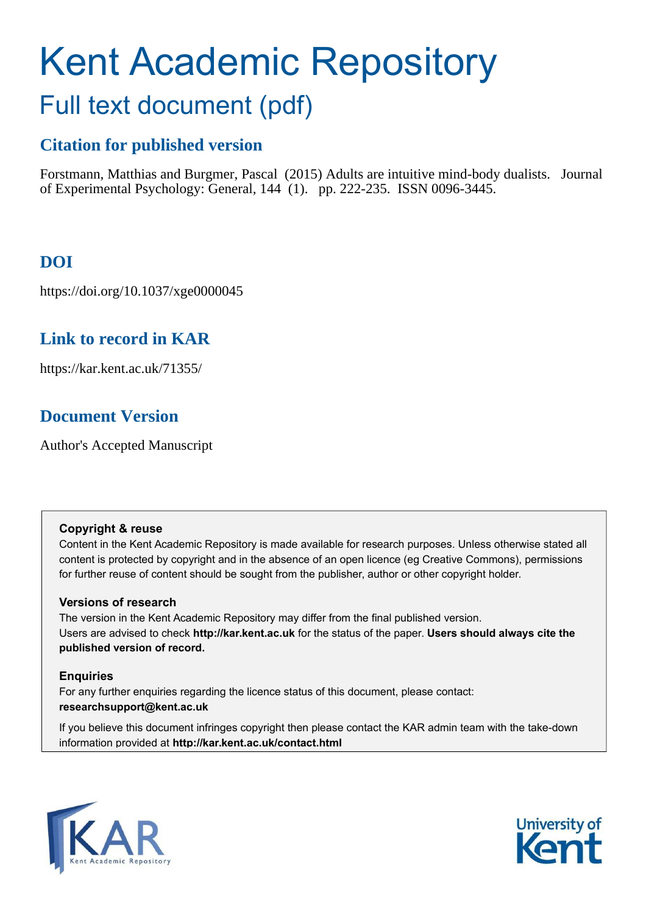# Kent Academic Repository Full text document (pdf)

## **Citation for published version**

Forstmann, Matthias and Burgmer, Pascal (2015) Adults are intuitive mind-body dualists. Journal of Experimental Psychology: General, 144 (1). pp. 222-235. ISSN 0096-3445.

## **DOI**

https://doi.org/10.1037/xge0000045

## **Link to record in KAR**

https://kar.kent.ac.uk/71355/

## **Document Version**

Author's Accepted Manuscript

#### **Copyright & reuse**

Content in the Kent Academic Repository is made available for research purposes. Unless otherwise stated all content is protected by copyright and in the absence of an open licence (eg Creative Commons), permissions for further reuse of content should be sought from the publisher, author or other copyright holder.

#### **Versions of research**

The version in the Kent Academic Repository may differ from the final published version. Users are advised to check **http://kar.kent.ac.uk** for the status of the paper. **Users should always cite the published version of record.**

#### **Enquiries**

For any further enquiries regarding the licence status of this document, please contact: **researchsupport@kent.ac.uk**

If you believe this document infringes copyright then please contact the KAR admin team with the take-down information provided at **http://kar.kent.ac.uk/contact.html**



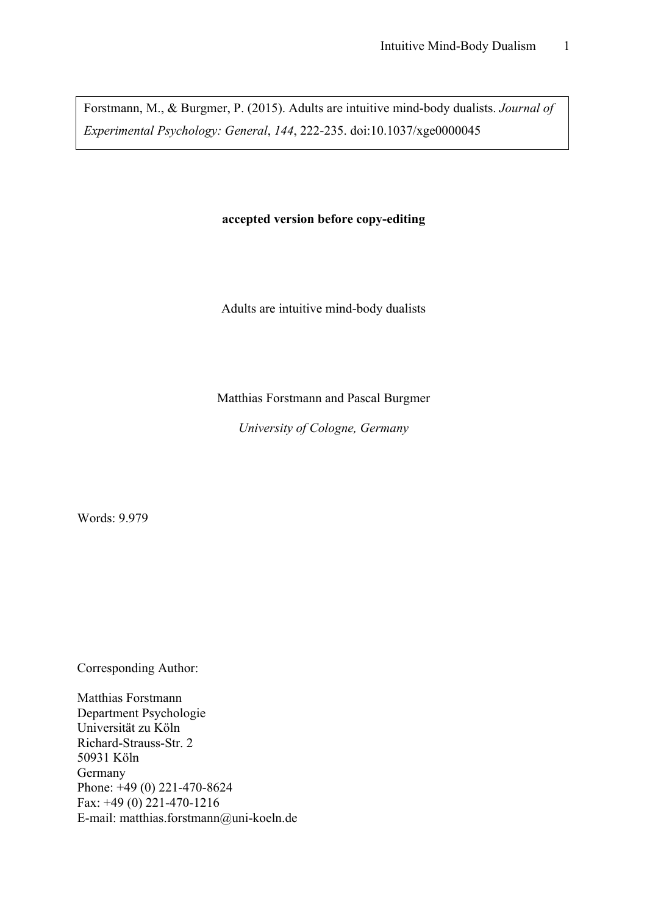Forstmann, M., & Burgmer, P. (2015). Adults are intuitive mind-body dualists. *Journal of Experimental Psychology: General*, *144*, 222-235. doi:10.1037/xge0000045

#### **accepted version before copy-editing**

Adults are intuitive mind-body dualists

Matthias Forstmann and Pascal Burgmer

*University of Cologne, Germany*

Words: 9.979

Corresponding Author:

Matthias Forstmann Department Psychologie Universität zu Köln Richard-Strauss-Str. 2 50931 Köln Germany Phone: +49 (0) 221-470-8624 Fax: +49 (0) 221-470-1216 E-mail: matthias.forstmann@uni-koeln.de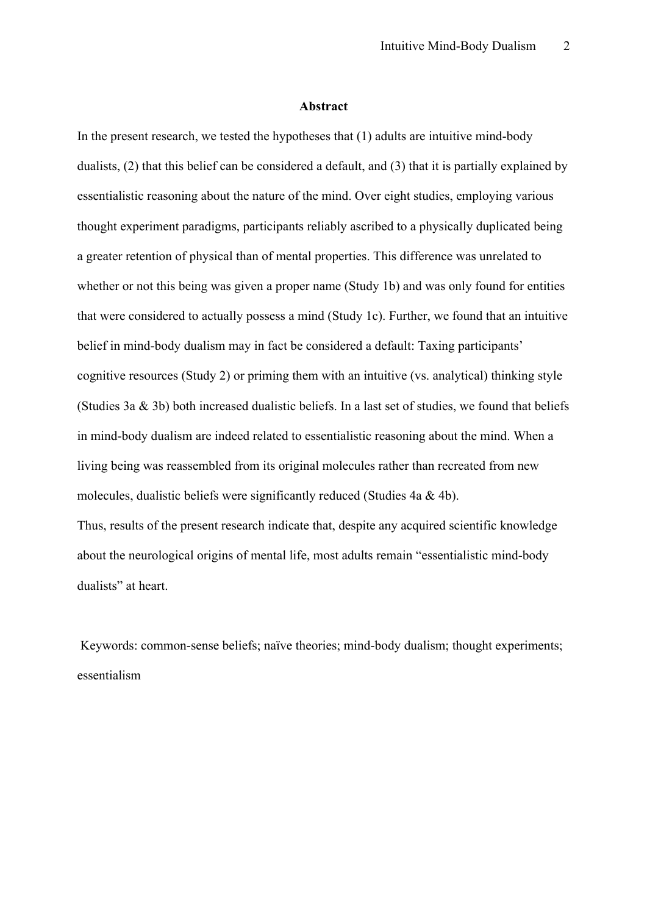#### **Abstract**

In the present research, we tested the hypotheses that (1) adults are intuitive mind-body dualists, (2) that this belief can be considered a default, and (3) that it is partially explained by essentialistic reasoning about the nature of the mind. Over eight studies, employing various thought experiment paradigms, participants reliably ascribed to a physically duplicated being a greater retention of physical than of mental properties. This difference was unrelated to whether or not this being was given a proper name (Study 1b) and was only found for entities that were considered to actually possess a mind (Study 1c). Further, we found that an intuitive belief in mind-body dualism may in fact be considered a default: Taxing participants' cognitive resources (Study 2) or priming them with an intuitive (vs. analytical) thinking style (Studies 3a & 3b) both increased dualistic beliefs. In a last set of studies, we found that beliefs in mind-body dualism are indeed related to essentialistic reasoning about the mind. When a living being was reassembled from its original molecules rather than recreated from new molecules, dualistic beliefs were significantly reduced (Studies 4a & 4b). Thus, results of the present research indicate that, despite any acquired scientific knowledge

about the neurological origins of mental life, most adults remain "essentialistic mind-body dualists" at heart.

Keywords: common-sense beliefs; naïve theories; mind-body dualism; thought experiments; essentialism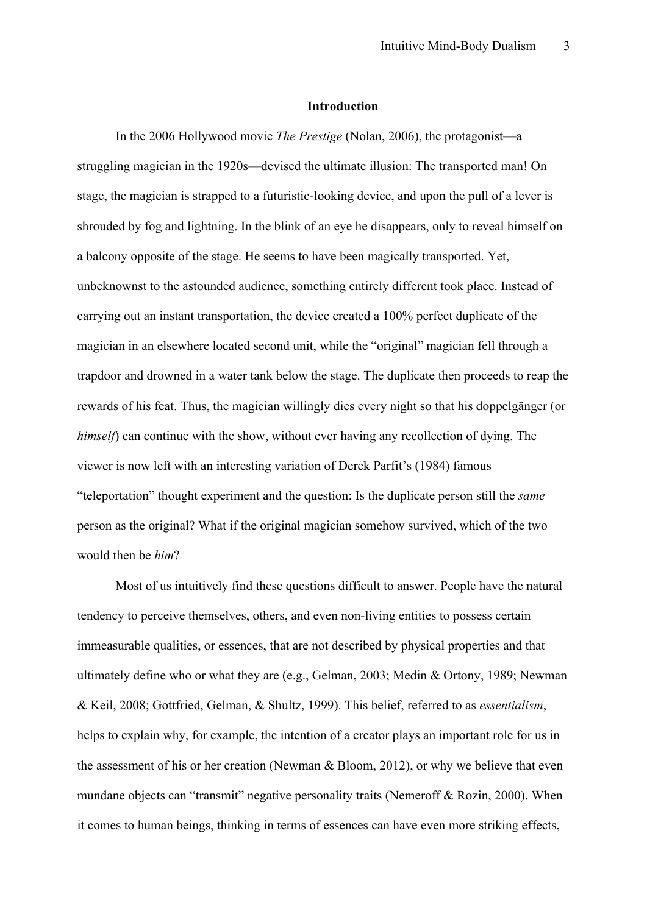#### **Introduction**

In the 2006 Hollywood movie *The Prestige* (Nolan, 2006), the protagonist—a struggling magician in the 1920s—devised the ultimate illusion: The transported man! On stage, the magician is strapped to a futuristic-looking device, and upon the pull of a lever is shrouded by fog and lightning. In the blink of an eye he disappears, only to reveal himself on a balcony opposite of the stage. He seems to have been magically transported. Yet, unbeknownst to the astounded audience, something entirely different took place. Instead of carrying out an instant transportation, the device created a 100% perfect duplicate of the magician in an elsewhere located second unit, while the "original" magician fell through a trapdoor and drowned in a water tank below the stage. The duplicate then proceeds to reap the rewards of his feat. Thus, the magician willingly dies every night so that his doppelgänger (or *himself*) can continue with the show, without ever having any recollection of dying. The viewer is now left with an interesting variation of Derek Parfit's (1984) famous "teleportation" thought experiment and the question: Is the duplicate person still the *same* person as the original? What if the original magician somehow survived, which of the two would then be *him*?

Most of us intuitively find these questions difficult to answer. People have the natural tendency to perceive themselves, others, and even non-living entities to possess certain immeasurable qualities, or essences, that are not described by physical properties and that ultimately define who or what they are (e.g., Gelman, 2003; Medin & Ortony, 1989; Newman & Keil, 2008; Gottfried, Gelman, & Shultz, 1999). This belief, referred to as *essentialism*, helps to explain why, for example, the intention of a creator plays an important role for us in the assessment of his or her creation (Newman & Bloom, 2012), or why we believe that even mundane objects can "transmit" negative personality traits (Nemeroff & Rozin, 2000). When it comes to human beings, thinking in terms of essences can have even more striking effects,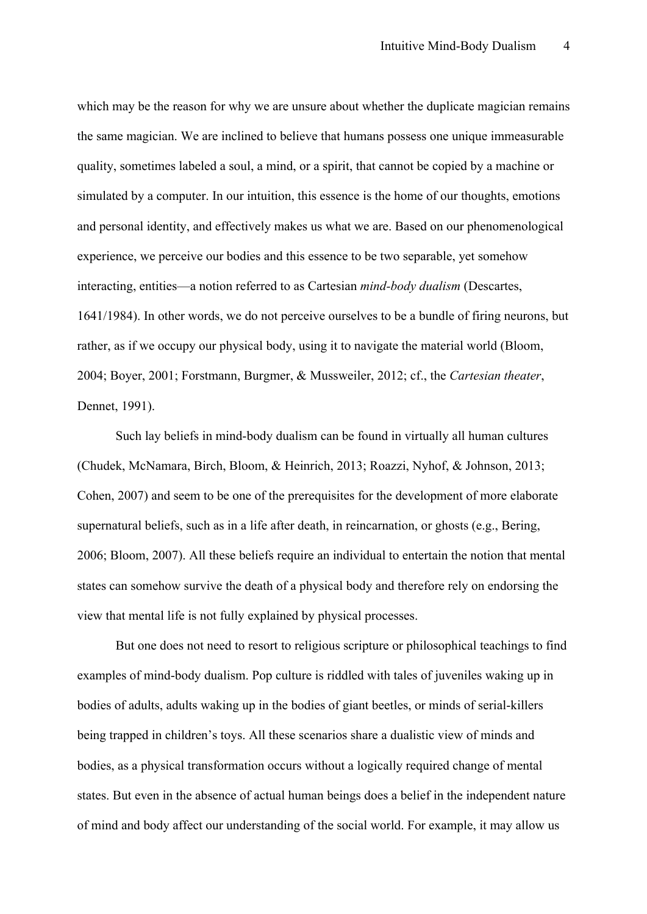which may be the reason for why we are unsure about whether the duplicate magician remains the same magician. We are inclined to believe that humans possess one unique immeasurable quality, sometimes labeled a soul, a mind, or a spirit, that cannot be copied by a machine or simulated by a computer. In our intuition, this essence is the home of our thoughts, emotions and personal identity, and effectively makes us what we are. Based on our phenomenological experience, we perceive our bodies and this essence to be two separable, yet somehow interacting, entities—a notion referred to as Cartesian *mind-body dualism* (Descartes, 1641/1984). In other words, we do not perceive ourselves to be a bundle of firing neurons, but rather, as if we occupy our physical body, using it to navigate the material world (Bloom, 2004; Boyer, 2001; Forstmann, Burgmer, & Mussweiler, 2012; cf., the *Cartesian theater*, Dennet, 1991).

Such lay beliefs in mind-body dualism can be found in virtually all human cultures (Chudek, McNamara, Birch, Bloom, & Heinrich, 2013; Roazzi, Nyhof, & Johnson, 2013; Cohen, 2007) and seem to be one of the prerequisites for the development of more elaborate supernatural beliefs, such as in a life after death, in reincarnation, or ghosts (e.g., Bering, 2006; Bloom, 2007). All these beliefs require an individual to entertain the notion that mental states can somehow survive the death of a physical body and therefore rely on endorsing the view that mental life is not fully explained by physical processes.

But one does not need to resort to religious scripture or philosophical teachings to find examples of mind-body dualism. Pop culture is riddled with tales of juveniles waking up in bodies of adults, adults waking up in the bodies of giant beetles, or minds of serial-killers being trapped in children's toys. All these scenarios share a dualistic view of minds and bodies, as a physical transformation occurs without a logically required change of mental states. But even in the absence of actual human beings does a belief in the independent nature of mind and body affect our understanding of the social world. For example, it may allow us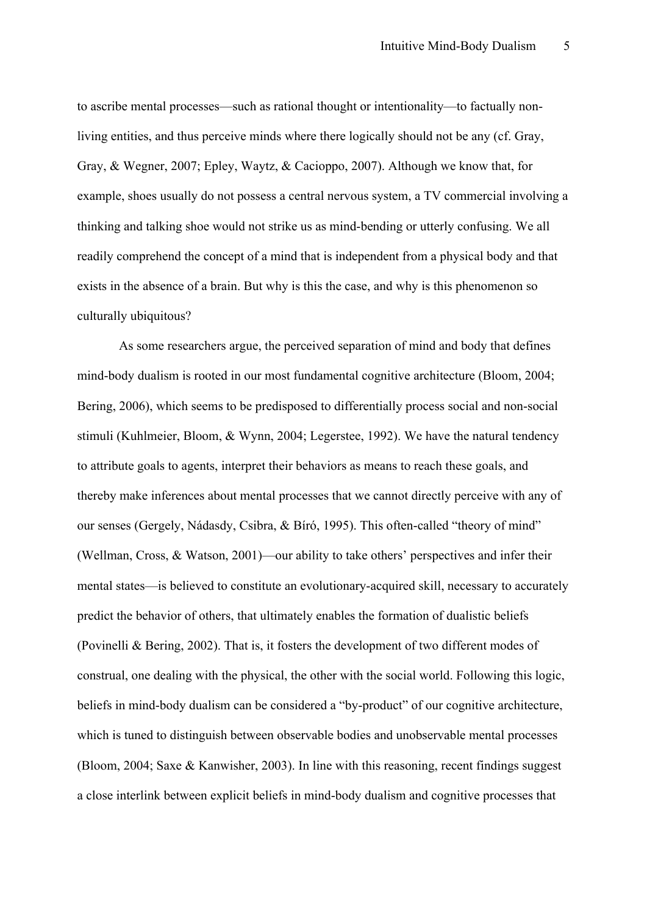to ascribe mental processes—such as rational thought or intentionality—to factually nonliving entities, and thus perceive minds where there logically should not be any (cf. Gray, Gray, & Wegner, 2007; Epley, Waytz, & Cacioppo, 2007). Although we know that, for example, shoes usually do not possess a central nervous system, a TV commercial involving a thinking and talking shoe would not strike us as mind-bending or utterly confusing. We all readily comprehend the concept of a mind that is independent from a physical body and that exists in the absence of a brain. But why is this the case, and why is this phenomenon so culturally ubiquitous?

As some researchers argue, the perceived separation of mind and body that defines mind-body dualism is rooted in our most fundamental cognitive architecture (Bloom, 2004; Bering, 2006), which seems to be predisposed to differentially process social and non-social stimuli (Kuhlmeier, Bloom, & Wynn, 2004; Legerstee, 1992). We have the natural tendency to attribute goals to agents, interpret their behaviors as means to reach these goals, and thereby make inferences about mental processes that we cannot directly perceive with any of our senses (Gergely, Nádasdy, Csibra, & Bíró, 1995). This often-called "theory of mind" (Wellman, Cross, & Watson, 2001)—our ability to take others' perspectives and infer their mental states—is believed to constitute an evolutionary-acquired skill, necessary to accurately predict the behavior of others, that ultimately enables the formation of dualistic beliefs (Povinelli & Bering, 2002). That is, it fosters the development of two different modes of construal, one dealing with the physical, the other with the social world. Following this logic, beliefs in mind-body dualism can be considered a "by-product" of our cognitive architecture, which is tuned to distinguish between observable bodies and unobservable mental processes (Bloom, 2004; Saxe & Kanwisher, 2003). In line with this reasoning, recent findings suggest a close interlink between explicit beliefs in mind-body dualism and cognitive processes that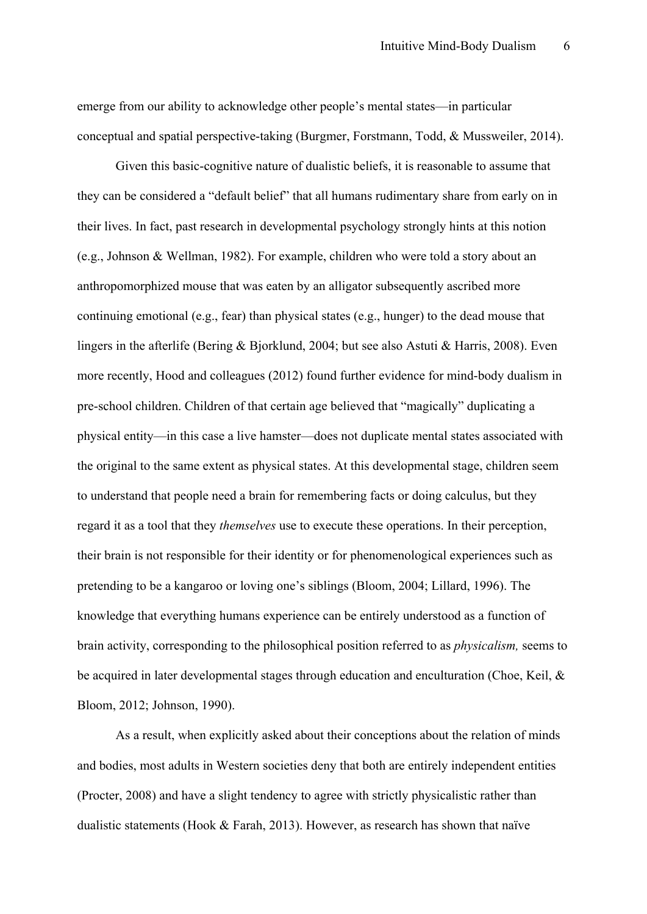emerge from our ability to acknowledge other people's mental states—in particular conceptual and spatial perspective-taking (Burgmer, Forstmann, Todd, & Mussweiler, 2014).

Given this basic-cognitive nature of dualistic beliefs, it is reasonable to assume that they can be considered a "default belief" that all humans rudimentary share from early on in their lives. In fact, past research in developmental psychology strongly hints at this notion (e.g., Johnson & Wellman, 1982). For example, children who were told a story about an anthropomorphized mouse that was eaten by an alligator subsequently ascribed more continuing emotional (e.g., fear) than physical states (e.g., hunger) to the dead mouse that lingers in the afterlife (Bering & Bjorklund, 2004; but see also Astuti & Harris, 2008). Even more recently, Hood and colleagues (2012) found further evidence for mind-body dualism in pre-school children. Children of that certain age believed that "magically" duplicating a physical entity—in this case a live hamster—does not duplicate mental states associated with the original to the same extent as physical states. At this developmental stage, children seem to understand that people need a brain for remembering facts or doing calculus, but they regard it as a tool that they *themselves* use to execute these operations. In their perception, their brain is not responsible for their identity or for phenomenological experiences such as pretending to be a kangaroo or loving one's siblings (Bloom, 2004; Lillard, 1996). The knowledge that everything humans experience can be entirely understood as a function of brain activity, corresponding to the philosophical position referred to as *physicalism,* seems to be acquired in later developmental stages through education and enculturation (Choe, Keil, & Bloom, 2012; Johnson, 1990).

As a result, when explicitly asked about their conceptions about the relation of minds and bodies, most adults in Western societies deny that both are entirely independent entities (Procter, 2008) and have a slight tendency to agree with strictly physicalistic rather than dualistic statements (Hook & Farah, 2013). However, as research has shown that naïve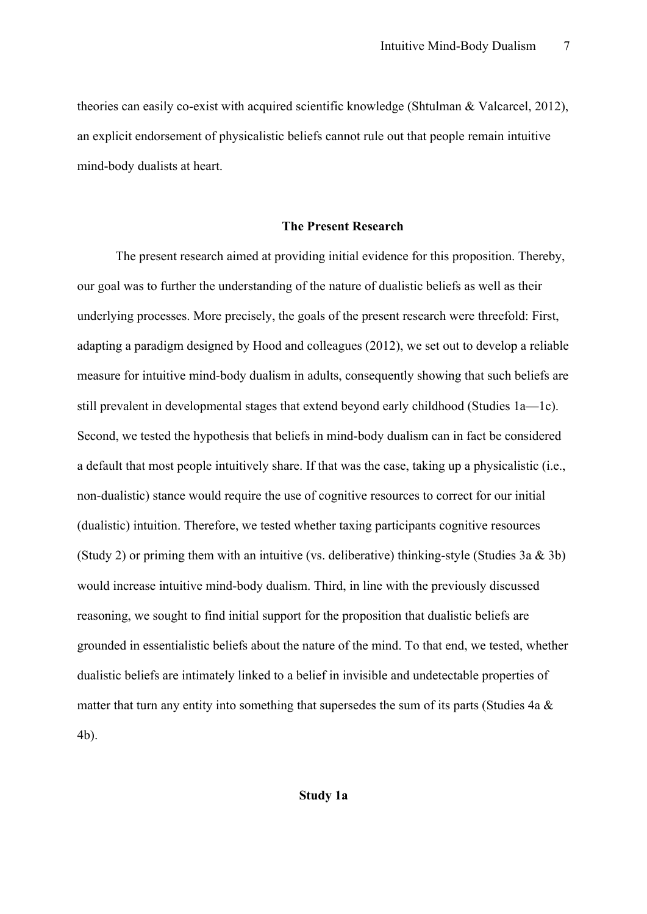theories can easily co-exist with acquired scientific knowledge (Shtulman & Valcarcel, 2012), an explicit endorsement of physicalistic beliefs cannot rule out that people remain intuitive mind-body dualists at heart.

#### **The Present Research**

The present research aimed at providing initial evidence for this proposition. Thereby, our goal was to further the understanding of the nature of dualistic beliefs as well as their underlying processes. More precisely, the goals of the present research were threefold: First, adapting a paradigm designed by Hood and colleagues (2012), we set out to develop a reliable measure for intuitive mind-body dualism in adults, consequently showing that such beliefs are still prevalent in developmental stages that extend beyond early childhood (Studies 1a—1c). Second, we tested the hypothesis that beliefs in mind-body dualism can in fact be considered a default that most people intuitively share. If that was the case, taking up a physicalistic (i.e., non-dualistic) stance would require the use of cognitive resources to correct for our initial (dualistic) intuition. Therefore, we tested whether taxing participants cognitive resources (Study 2) or priming them with an intuitive (vs. deliberative) thinking-style (Studies 3a & 3b) would increase intuitive mind-body dualism. Third, in line with the previously discussed reasoning, we sought to find initial support for the proposition that dualistic beliefs are grounded in essentialistic beliefs about the nature of the mind. To that end, we tested, whether dualistic beliefs are intimately linked to a belief in invisible and undetectable properties of matter that turn any entity into something that supersedes the sum of its parts (Studies 4a  $\&$ 4b).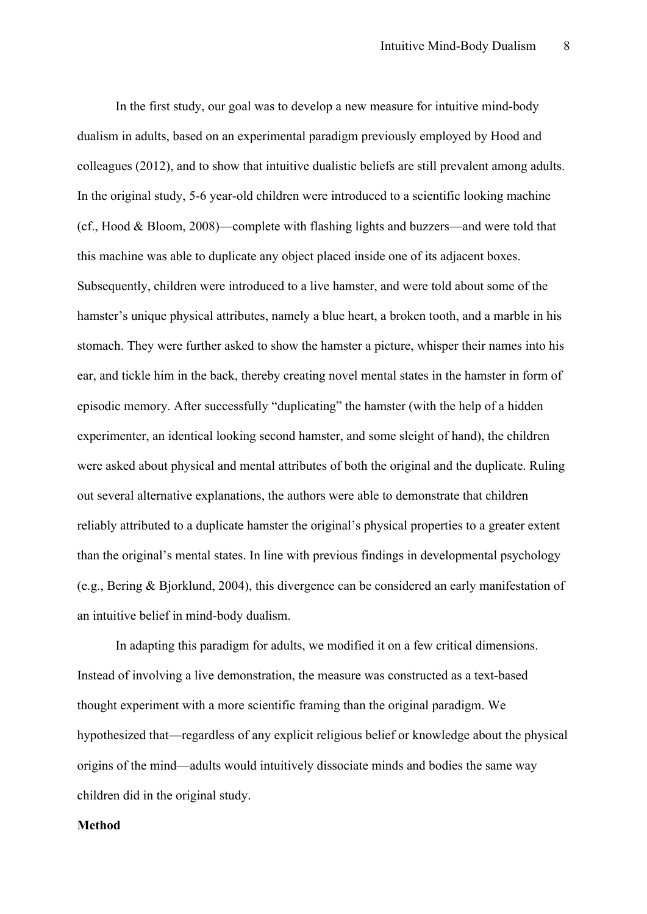In the first study, our goal was to develop a new measure for intuitive mind-body dualism in adults, based on an experimental paradigm previously employed by Hood and colleagues (2012), and to show that intuitive dualistic beliefs are still prevalent among adults. In the original study, 5-6 year-old children were introduced to a scientific looking machine (cf., Hood & Bloom, 2008)—complete with flashing lights and buzzers—and were told that this machine was able to duplicate any object placed inside one of its adjacent boxes. Subsequently, children were introduced to a live hamster, and were told about some of the hamster's unique physical attributes, namely a blue heart, a broken tooth, and a marble in his stomach. They were further asked to show the hamster a picture, whisper their names into his ear, and tickle him in the back, thereby creating novel mental states in the hamster in form of episodic memory. After successfully "duplicating" the hamster (with the help of a hidden experimenter, an identical looking second hamster, and some sleight of hand), the children were asked about physical and mental attributes of both the original and the duplicate. Ruling out several alternative explanations, the authors were able to demonstrate that children reliably attributed to a duplicate hamster the original's physical properties to a greater extent than the original's mental states. In line with previous findings in developmental psychology (e.g., Bering & Bjorklund, 2004), this divergence can be considered an early manifestation of an intuitive belief in mind-body dualism.

In adapting this paradigm for adults, we modified it on a few critical dimensions. Instead of involving a live demonstration, the measure was constructed as a text-based thought experiment with a more scientific framing than the original paradigm. We hypothesized that—regardless of any explicit religious belief or knowledge about the physical origins of the mind—adults would intuitively dissociate minds and bodies the same way children did in the original study.

#### **Method**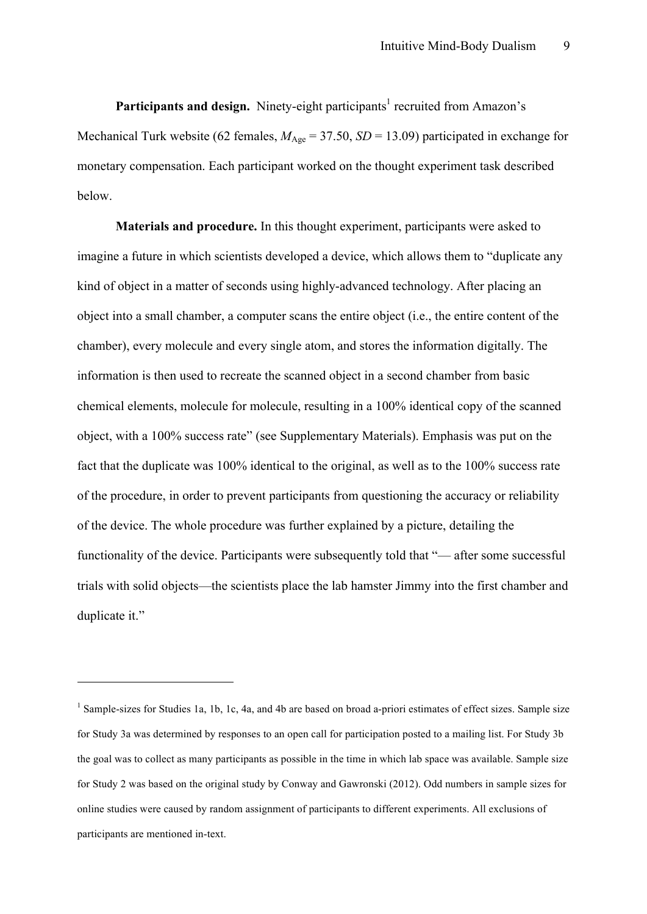Participants and design. Ninety-eight participants<sup>1</sup> recruited from Amazon's Mechanical Turk website (62 females,  $M_{\text{Age}} = 37.50$ ,  $SD = 13.09$ ) participated in exchange for monetary compensation. Each participant worked on the thought experiment task described below.

**Materials and procedure.** In this thought experiment, participants were asked to imagine a future in which scientists developed a device, which allows them to "duplicate any kind of object in a matter of seconds using highly-advanced technology. After placing an object into a small chamber, a computer scans the entire object (i.e., the entire content of the chamber), every molecule and every single atom, and stores the information digitally. The information is then used to recreate the scanned object in a second chamber from basic chemical elements, molecule for molecule, resulting in a 100% identical copy of the scanned object, with a 100% success rate" (see Supplementary Materials). Emphasis was put on the fact that the duplicate was 100% identical to the original, as well as to the 100% success rate of the procedure, in order to prevent participants from questioning the accuracy or reliability of the device. The whole procedure was further explained by a picture, detailing the functionality of the device. Participants were subsequently told that "— after some successful trials with solid objects—the scientists place the lab hamster Jimmy into the first chamber and duplicate it."

 $\overline{a}$ 

<sup>&</sup>lt;sup>1</sup> Sample-sizes for Studies 1a, 1b, 1c, 4a, and 4b are based on broad a-priori estimates of effect sizes. Sample size for Study 3a was determined by responses to an open call for participation posted to a mailing list. For Study 3b the goal was to collect as many participants as possible in the time in which lab space was available. Sample size for Study 2 was based on the original study by Conway and Gawronski (2012). Odd numbers in sample sizes for online studies were caused by random assignment of participants to different experiments. All exclusions of participants are mentioned in-text.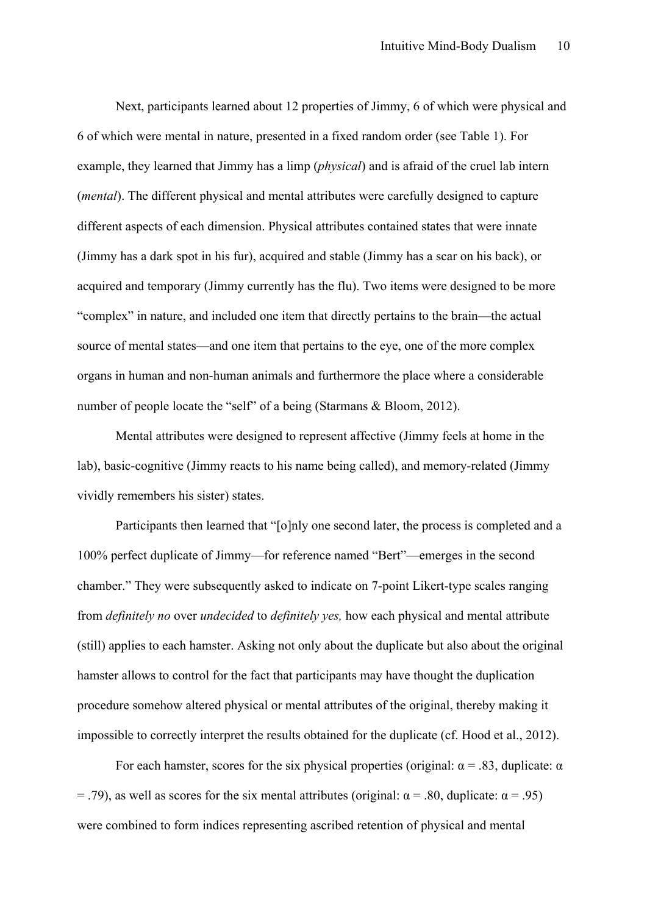Next, participants learned about 12 properties of Jimmy, 6 of which were physical and 6 of which were mental in nature, presented in a fixed random order (see Table 1). For example, they learned that Jimmy has a limp (*physical*) and is afraid of the cruel lab intern (*mental*). The different physical and mental attributes were carefully designed to capture different aspects of each dimension. Physical attributes contained states that were innate (Jimmy has a dark spot in his fur), acquired and stable (Jimmy has a scar on his back), or acquired and temporary (Jimmy currently has the flu). Two items were designed to be more "complex" in nature, and included one item that directly pertains to the brain—the actual source of mental states—and one item that pertains to the eye, one of the more complex organs in human and non-human animals and furthermore the place where a considerable number of people locate the "self" of a being (Starmans & Bloom, 2012).

Mental attributes were designed to represent affective (Jimmy feels at home in the lab), basic-cognitive (Jimmy reacts to his name being called), and memory-related (Jimmy vividly remembers his sister) states.

Participants then learned that "[o]nly one second later, the process is completed and a 100% perfect duplicate of Jimmy—for reference named "Bert"—emerges in the second chamber." They were subsequently asked to indicate on 7-point Likert-type scales ranging from *definitely no* over *undecided* to *definitely yes,* how each physical and mental attribute (still) applies to each hamster. Asking not only about the duplicate but also about the original hamster allows to control for the fact that participants may have thought the duplication procedure somehow altered physical or mental attributes of the original, thereby making it impossible to correctly interpret the results obtained for the duplicate (cf. Hood et al., 2012).

For each hamster, scores for the six physical properties (original:  $\alpha$  = .83, duplicate:  $\alpha$  $=$  .79), as well as scores for the six mental attributes (original: α = .80, duplicate: α = .95) were combined to form indices representing ascribed retention of physical and mental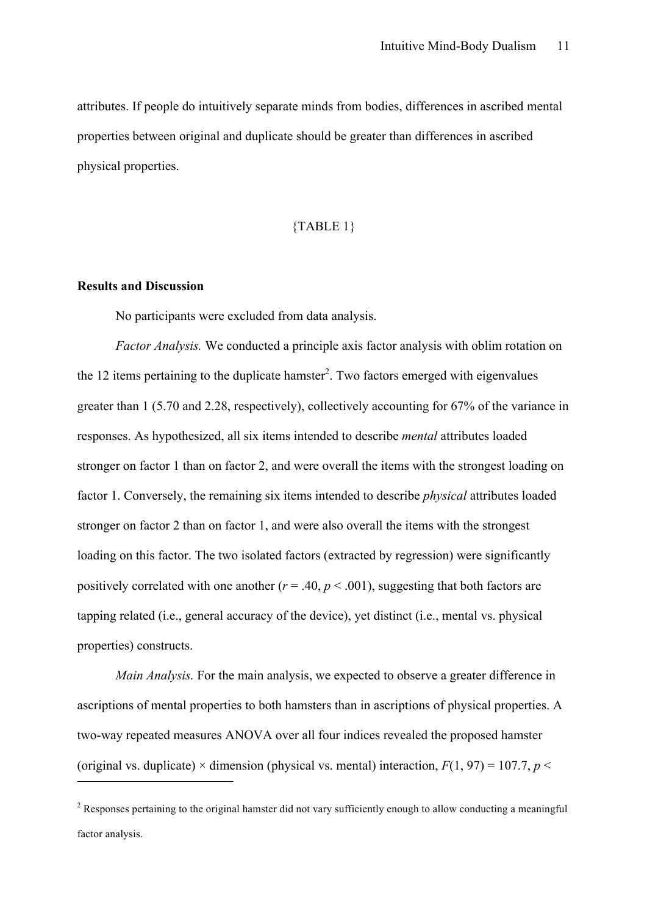attributes. If people do intuitively separate minds from bodies, differences in ascribed mental properties between original and duplicate should be greater than differences in ascribed physical properties.

#### {TABLE 1}

#### **Results and Discussion**

 $\overline{a}$ 

No participants were excluded from data analysis.

*Factor Analysis.* We conducted a principle axis factor analysis with oblim rotation on the 12 items pertaining to the duplicate hamster<sup>2</sup>. Two factors emerged with eigenvalues greater than 1 (5.70 and 2.28, respectively), collectively accounting for 67% of the variance in responses. As hypothesized, all six items intended to describe *mental* attributes loaded stronger on factor 1 than on factor 2, and were overall the items with the strongest loading on factor 1. Conversely, the remaining six items intended to describe *physical* attributes loaded stronger on factor 2 than on factor 1, and were also overall the items with the strongest loading on this factor. The two isolated factors (extracted by regression) were significantly positively correlated with one another ( $r = .40$ ,  $p < .001$ ), suggesting that both factors are tapping related (i.e., general accuracy of the device), yet distinct (i.e., mental vs. physical properties) constructs.

*Main Analysis.* For the main analysis, we expected to observe a greater difference in ascriptions of mental properties to both hamsters than in ascriptions of physical properties. A two-way repeated measures ANOVA over all four indices revealed the proposed hamster (original vs. duplicate)  $\times$  dimension (physical vs. mental) interaction,  $F(1, 97) = 107.7$ ,  $p \le$ 

<sup>&</sup>lt;sup>2</sup> Responses pertaining to the original hamster did not vary sufficiently enough to allow conducting a meaningful factor analysis.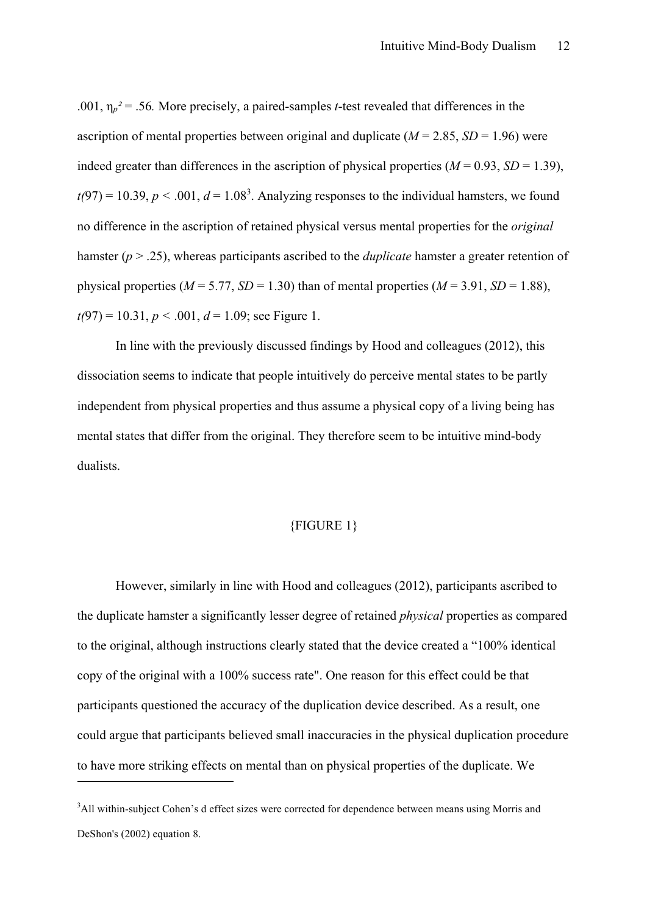.001,  $\eta_p^2 = 0.56$ . More precisely, a paired-samples *t*-test revealed that differences in the ascription of mental properties between original and duplicate ( $M = 2.85$ ,  $SD = 1.96$ ) were indeed greater than differences in the ascription of physical properties  $(M = 0.93, SD = 1.39)$ ,  $t(97) = 10.39, p < .001, d = 1.08<sup>3</sup>$ . Analyzing responses to the individual hamsters, we found no difference in the ascription of retained physical versus mental properties for the *original* hamster (*p* > .25), whereas participants ascribed to the *duplicate* hamster a greater retention of physical properties ( $M = 5.77$ ,  $SD = 1.30$ ) than of mental properties ( $M = 3.91$ ,  $SD = 1.88$ ),  $t(97) = 10.31, p < .001, d = 1.09$ ; see Figure 1.

In line with the previously discussed findings by Hood and colleagues (2012), this dissociation seems to indicate that people intuitively do perceive mental states to be partly independent from physical properties and thus assume a physical copy of a living being has mental states that differ from the original. They therefore seem to be intuitive mind-body dualists.

#### {FIGURE 1}

However, similarly in line with Hood and colleagues (2012), participants ascribed to the duplicate hamster a significantly lesser degree of retained *physical* properties as compared to the original, although instructions clearly stated that the device created a "100% identical copy of the original with a 100% success rate". One reason for this effect could be that participants questioned the accuracy of the duplication device described. As a result, one could argue that participants believed small inaccuracies in the physical duplication procedure to have more striking effects on mental than on physical properties of the duplicate. We

 $\overline{a}$ 

<sup>&</sup>lt;sup>3</sup>All within-subject Cohen's d effect sizes were corrected for dependence between means using Morris and DeShon's (2002) equation 8.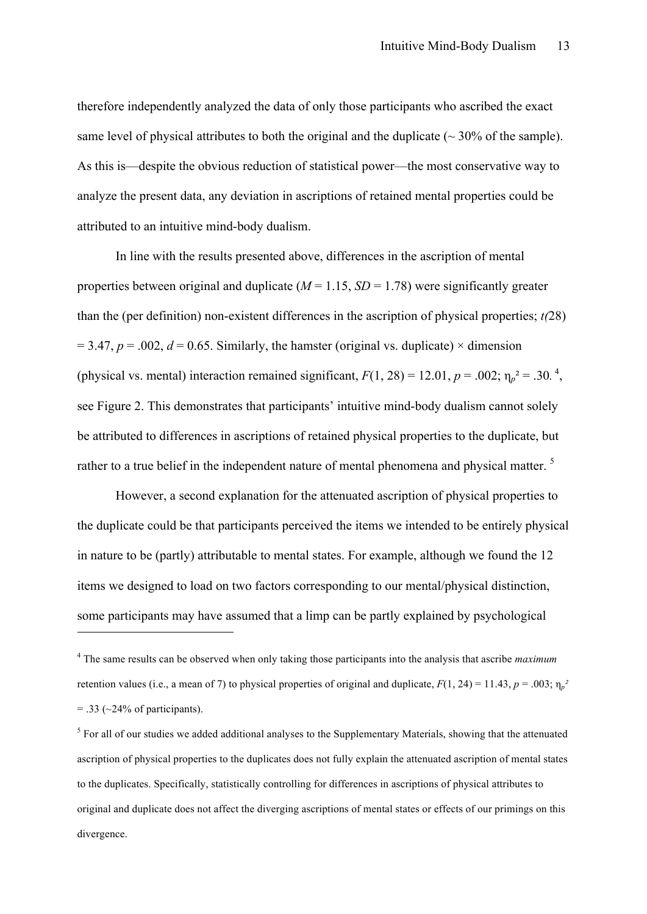therefore independently analyzed the data of only those participants who ascribed the exact same level of physical attributes to both the original and the duplicate  $\sim$  30% of the sample). As this is—despite the obvious reduction of statistical power—the most conservative way to analyze the present data, any deviation in ascriptions of retained mental properties could be attributed to an intuitive mind-body dualism.

In line with the results presented above, differences in the ascription of mental properties between original and duplicate  $(M = 1.15, SD = 1.78)$  were significantly greater than the (per definition) non-existent differences in the ascription of physical properties; *t(*28)  $= 3.47$ ,  $p = .002$ ,  $d = 0.65$ . Similarly, the hamster (original vs. duplicate)  $\times$  dimension (physical vs. mental) interaction remained significant,  $F(1, 28) = 12.01$ ,  $p = .002$ ;  $\eta_p^2 = .30$ .<sup>4</sup>, see Figure 2. This demonstrates that participants' intuitive mind-body dualism cannot solely be attributed to differences in ascriptions of retained physical properties to the duplicate, but rather to a true belief in the independent nature of mental phenomena and physical matter.<sup>5</sup>

However, a second explanation for the attenuated ascription of physical properties to the duplicate could be that participants perceived the items we intended to be entirely physical in nature to be (partly) attributable to mental states. For example, although we found the 12 items we designed to load on two factors corresponding to our mental/physical distinction, some participants may have assumed that a limp can be partly explained by psychological

 $\overline{a}$ 

<sup>4</sup> The same results can be observed when only taking those participants into the analysis that ascribe *maximum* retention values (i.e., a mean of 7) to physical properties of original and duplicate,  $F(1, 24) = 11.43$ ,  $p = .003$ ;  $\eta_p^2$  $=$  .33 ( $\sim$ 24% of participants).

 $<sup>5</sup>$  For all of our studies we added additional analyses to the Supplementary Materials, showing that the attenuated</sup> ascription of physical properties to the duplicates does not fully explain the attenuated ascription of mental states to the duplicates. Specifically, statistically controlling for differences in ascriptions of physical attributes to original and duplicate does not affect the diverging ascriptions of mental states or effects of our primings on this divergence.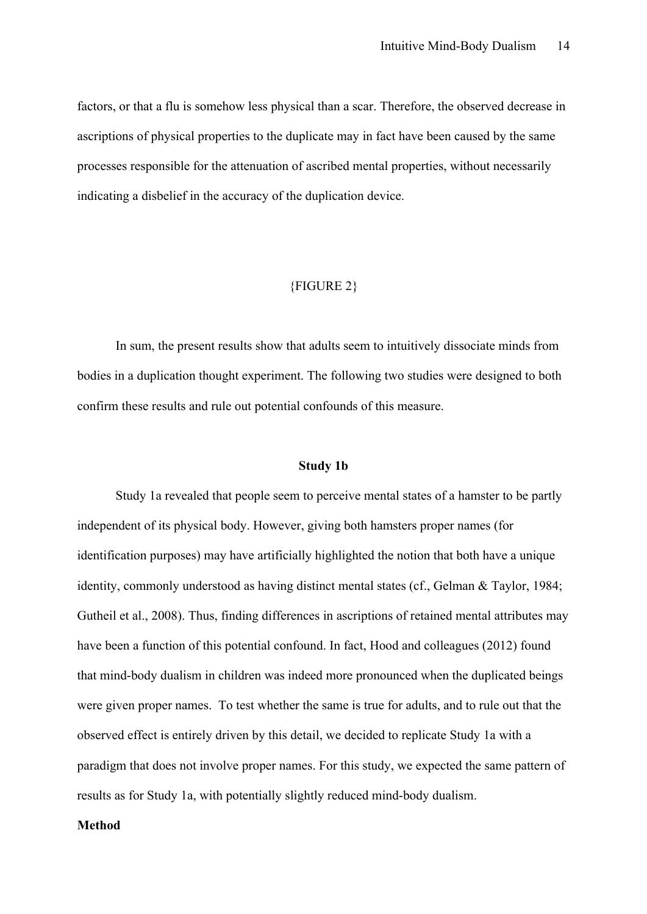factors, or that a flu is somehow less physical than a scar. Therefore, the observed decrease in ascriptions of physical properties to the duplicate may in fact have been caused by the same processes responsible for the attenuation of ascribed mental properties, without necessarily indicating a disbelief in the accuracy of the duplication device.

#### {FIGURE 2}

In sum, the present results show that adults seem to intuitively dissociate minds from bodies in a duplication thought experiment. The following two studies were designed to both confirm these results and rule out potential confounds of this measure.

#### **Study 1b**

Study 1a revealed that people seem to perceive mental states of a hamster to be partly independent of its physical body. However, giving both hamsters proper names (for identification purposes) may have artificially highlighted the notion that both have a unique identity, commonly understood as having distinct mental states (cf., Gelman & Taylor, 1984; Gutheil et al., 2008). Thus, finding differences in ascriptions of retained mental attributes may have been a function of this potential confound. In fact, Hood and colleagues (2012) found that mind-body dualism in children was indeed more pronounced when the duplicated beings were given proper names. To test whether the same is true for adults, and to rule out that the observed effect is entirely driven by this detail, we decided to replicate Study 1a with a paradigm that does not involve proper names. For this study, we expected the same pattern of results as for Study 1a, with potentially slightly reduced mind-body dualism.

#### **Method**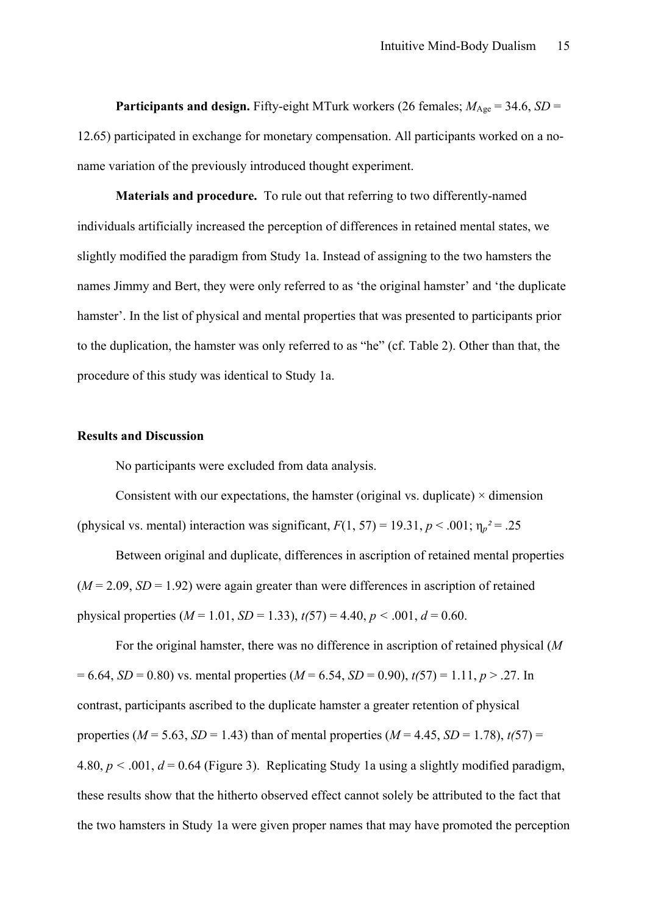**Participants and design.** Fifty-eight MTurk workers (26 females;  $M_{\text{Age}} = 34.6$ , *SD* = 12.65) participated in exchange for monetary compensation. All participants worked on a noname variation of the previously introduced thought experiment.

**Materials and procedure.** To rule out that referring to two differently-named individuals artificially increased the perception of differences in retained mental states, we slightly modified the paradigm from Study 1a. Instead of assigning to the two hamsters the names Jimmy and Bert, they were only referred to as 'the original hamster' and 'the duplicate hamster'. In the list of physical and mental properties that was presented to participants prior to the duplication, the hamster was only referred to as "he" (cf. Table 2). Other than that, the procedure of this study was identical to Study 1a.

#### **Results and Discussion**

No participants were excluded from data analysis.

Consistent with our expectations, the hamster (original vs. duplicate)  $\times$  dimension (physical vs. mental) interaction was significant,  $F(1, 57) = 19.31$ ,  $p < .001$ ;  $\eta_p^2 = .25$ 

Between original and duplicate, differences in ascription of retained mental properties  $(M = 2.09, SD = 1.92)$  were again greater than were differences in ascription of retained physical properties  $(M = 1.01, SD = 1.33)$ ,  $t(57) = 4.40, p < .001, d = 0.60$ .

For the original hamster, there was no difference in ascription of retained physical (*M*   $= 6.64$ , *SD* = 0.80) vs. mental properties (*M* = 6.54, *SD* = 0.90),  $t(57) = 1.11$ ,  $p > .27$ . In contrast, participants ascribed to the duplicate hamster a greater retention of physical properties ( $M = 5.63$ ,  $SD = 1.43$ ) than of mental properties ( $M = 4.45$ ,  $SD = 1.78$ ),  $t(57) =$ 4.80,  $p < .001$ ,  $d = 0.64$  (Figure 3). Replicating Study 1a using a slightly modified paradigm, these results show that the hitherto observed effect cannot solely be attributed to the fact that the two hamsters in Study 1a were given proper names that may have promoted the perception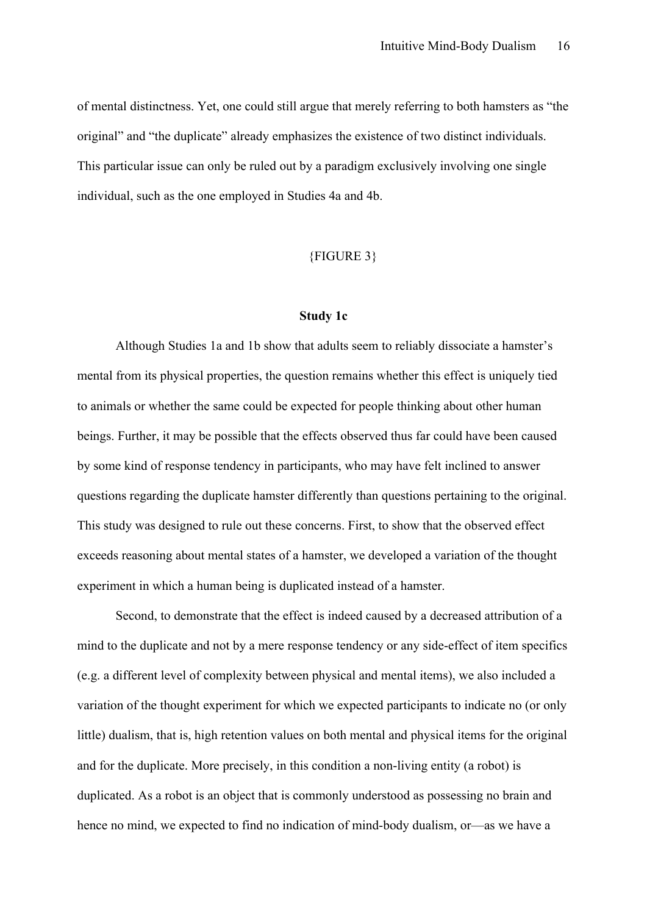of mental distinctness. Yet, one could still argue that merely referring to both hamsters as "the original" and "the duplicate" already emphasizes the existence of two distinct individuals. This particular issue can only be ruled out by a paradigm exclusively involving one single individual, such as the one employed in Studies 4a and 4b.

#### {FIGURE 3}

#### **Study 1c**

Although Studies 1a and 1b show that adults seem to reliably dissociate a hamster's mental from its physical properties, the question remains whether this effect is uniquely tied to animals or whether the same could be expected for people thinking about other human beings. Further, it may be possible that the effects observed thus far could have been caused by some kind of response tendency in participants, who may have felt inclined to answer questions regarding the duplicate hamster differently than questions pertaining to the original. This study was designed to rule out these concerns. First, to show that the observed effect exceeds reasoning about mental states of a hamster, we developed a variation of the thought experiment in which a human being is duplicated instead of a hamster.

Second, to demonstrate that the effect is indeed caused by a decreased attribution of a mind to the duplicate and not by a mere response tendency or any side-effect of item specifics (e.g. a different level of complexity between physical and mental items), we also included a variation of the thought experiment for which we expected participants to indicate no (or only little) dualism, that is, high retention values on both mental and physical items for the original and for the duplicate. More precisely, in this condition a non-living entity (a robot) is duplicated. As a robot is an object that is commonly understood as possessing no brain and hence no mind, we expected to find no indication of mind-body dualism, or—as we have a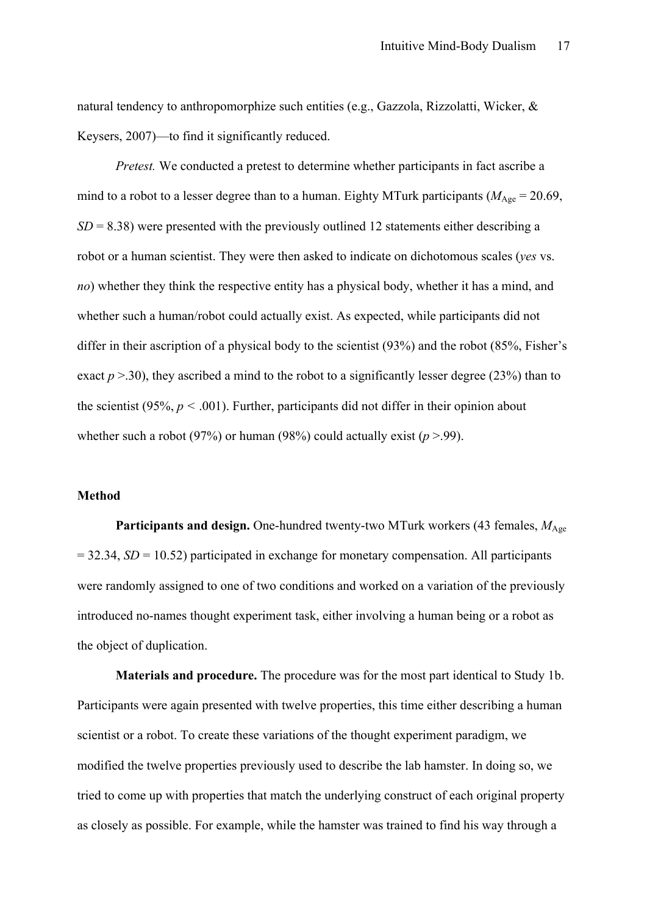natural tendency to anthropomorphize such entities (e.g., Gazzola, Rizzolatti, Wicker, & Keysers, 2007)—to find it significantly reduced.

*Pretest.* We conducted a pretest to determine whether participants in fact ascribe a mind to a robot to a lesser degree than to a human. Eighty MTurk participants ( $M_{\text{Age}} = 20.69$ ,  $SD = 8.38$ ) were presented with the previously outlined 12 statements either describing a robot or a human scientist. They were then asked to indicate on dichotomous scales (*yes* vs. *no*) whether they think the respective entity has a physical body, whether it has a mind, and whether such a human/robot could actually exist. As expected, while participants did not differ in their ascription of a physical body to the scientist (93%) and the robot (85%, Fisher's exact  $p > 30$ ), they ascribed a mind to the robot to a significantly lesser degree (23%) than to the scientist (95%,  $p < .001$ ). Further, participants did not differ in their opinion about whether such a robot (97%) or human (98%) could actually exist ( $p > .99$ ).

#### **Method**

Participants and design. One-hundred twenty-two MTurk workers (43 females,  $M_{\text{Age}}$ = 32.34, *SD* = 10.52) participated in exchange for monetary compensation. All participants were randomly assigned to one of two conditions and worked on a variation of the previously introduced no-names thought experiment task, either involving a human being or a robot as the object of duplication.

**Materials and procedure.** The procedure was for the most part identical to Study 1b. Participants were again presented with twelve properties, this time either describing a human scientist or a robot. To create these variations of the thought experiment paradigm, we modified the twelve properties previously used to describe the lab hamster. In doing so, we tried to come up with properties that match the underlying construct of each original property as closely as possible. For example, while the hamster was trained to find his way through a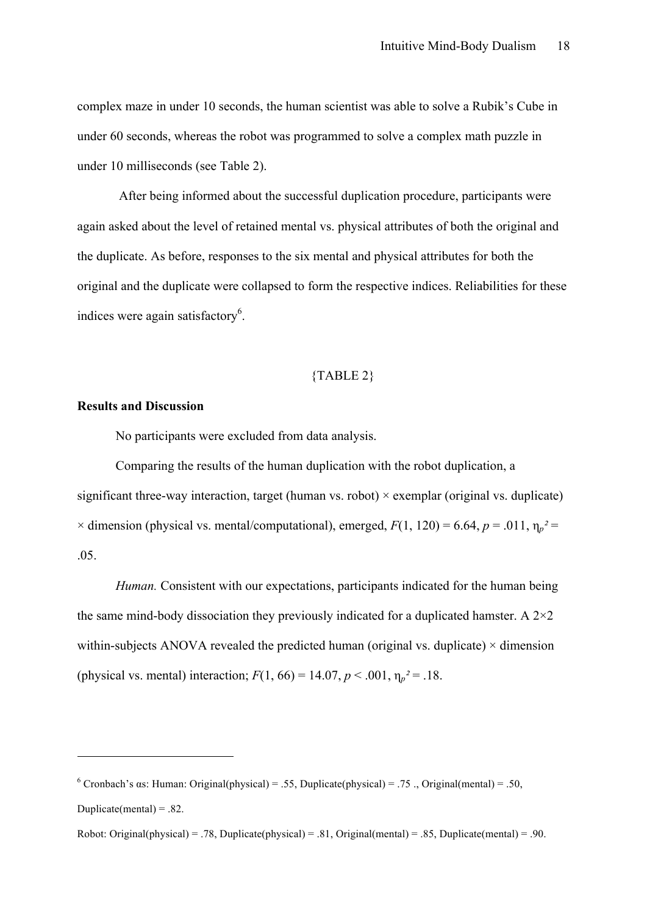complex maze in under 10 seconds, the human scientist was able to solve a Rubik's Cube in under 60 seconds, whereas the robot was programmed to solve a complex math puzzle in under 10 milliseconds (see Table 2).

After being informed about the successful duplication procedure, participants were again asked about the level of retained mental vs. physical attributes of both the original and the duplicate. As before, responses to the six mental and physical attributes for both the original and the duplicate were collapsed to form the respective indices. Reliabilities for these indices were again satisfactory<sup>6</sup>.

#### {TABLE 2}

#### **Results and Discussion**

 $\overline{a}$ 

No participants were excluded from data analysis.

Comparing the results of the human duplication with the robot duplication, a significant three-way interaction, target (human vs. robot)  $\times$  exemplar (original vs. duplicate)  $\times$  dimension (physical vs. mental/computational), emerged,  $F(1, 120) = 6.64$ ,  $p = .011$ ,  $\eta_p^2 =$ .05.

*Human.* Consistent with our expectations, participants indicated for the human being the same mind-body dissociation they previously indicated for a duplicated hamster. A  $2\times 2$ within-subjects ANOVA revealed the predicted human (original vs. duplicate)  $\times$  dimension (physical vs. mental) interaction;  $F(1, 66) = 14.07$ ,  $p < .001$ ,  $\eta_p^2 = .18$ .

<sup>&</sup>lt;sup>6</sup> Cronbach's αs: Human: Original(physical) = .55, Duplicate(physical) = .75 ., Original(mental) = .50, Duplicate(mental) =  $.82$ .

Robot: Original(physical) = .78, Duplicate(physical) = .81, Original(mental) = .85, Duplicate(mental) = .90.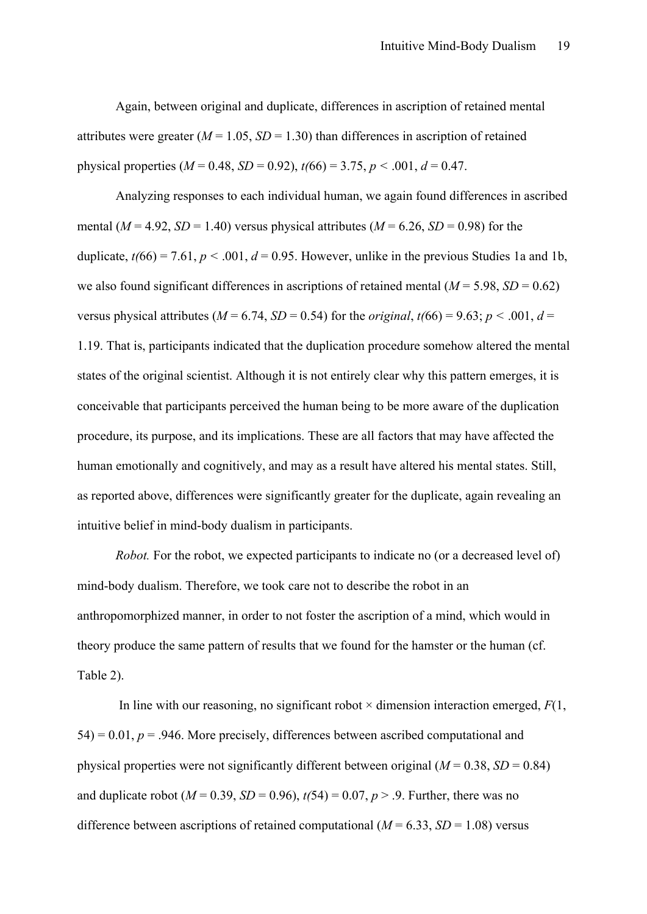Again, between original and duplicate, differences in ascription of retained mental attributes were greater  $(M = 1.05, SD = 1.30)$  than differences in ascription of retained physical properties  $(M = 0.48, SD = 0.92)$ ,  $t(66) = 3.75, p < .001, d = 0.47$ .

Analyzing responses to each individual human, we again found differences in ascribed mental ( $M = 4.92$ ,  $SD = 1.40$ ) versus physical attributes ( $M = 6.26$ ,  $SD = 0.98$ ) for the duplicate,  $t/66$  = 7.61,  $p < .001$ ,  $d = 0.95$ . However, unlike in the previous Studies 1a and 1b. we also found significant differences in ascriptions of retained mental  $(M = 5.98, SD = 0.62)$ versus physical attributes ( $M = 6.74$ ,  $SD = 0.54$ ) for the *original*,  $t(66) = 9.63$ ;  $p < .001$ ,  $d =$ 1.19. That is, participants indicated that the duplication procedure somehow altered the mental states of the original scientist. Although it is not entirely clear why this pattern emerges, it is conceivable that participants perceived the human being to be more aware of the duplication procedure, its purpose, and its implications. These are all factors that may have affected the human emotionally and cognitively, and may as a result have altered his mental states. Still, as reported above, differences were significantly greater for the duplicate, again revealing an intuitive belief in mind-body dualism in participants.

*Robot.* For the robot, we expected participants to indicate no (or a decreased level of) mind-body dualism. Therefore, we took care not to describe the robot in an anthropomorphized manner, in order to not foster the ascription of a mind, which would in theory produce the same pattern of results that we found for the hamster or the human (cf. Table 2).

In line with our reasoning, no significant robot  $\times$  dimension interaction emerged,  $F(1)$ ,  $54$ ) = 0.01,  $p = 0.946$ . More precisely, differences between ascribed computational and physical properties were not significantly different between original  $(M = 0.38, SD = 0.84)$ and duplicate robot ( $M = 0.39$ ,  $SD = 0.96$ ),  $t(54) = 0.07$ ,  $p > .9$ . Further, there was no difference between ascriptions of retained computational  $(M = 6.33, SD = 1.08)$  versus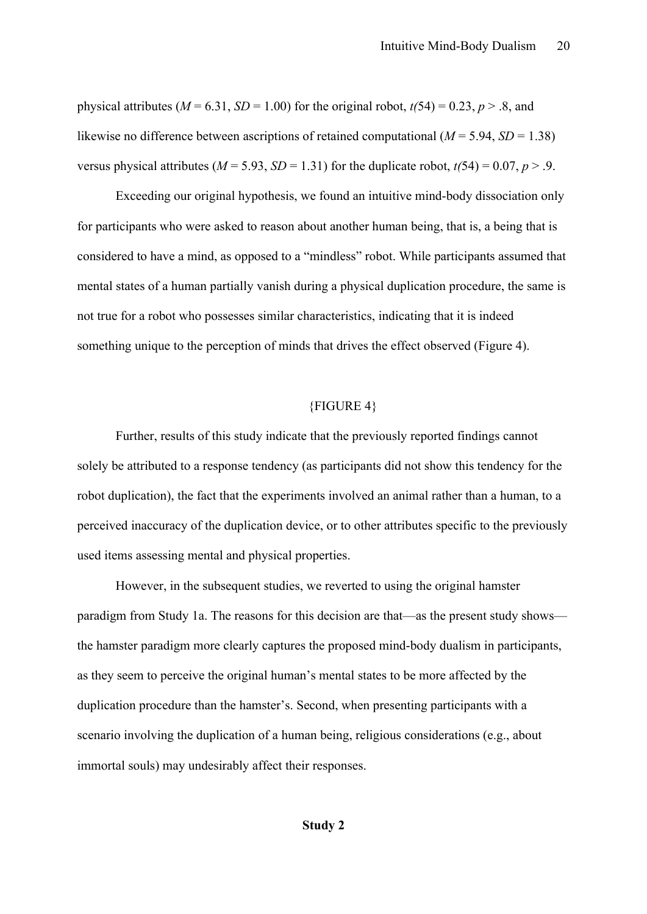physical attributes ( $M = 6.31$ ,  $SD = 1.00$ ) for the original robot,  $t(54) = 0.23$ ,  $p > .8$ , and likewise no difference between ascriptions of retained computational  $(M = 5.94, SD = 1.38)$ versus physical attributes ( $M = 5.93$ ,  $SD = 1.31$ ) for the duplicate robot,  $t(54) = 0.07$ ,  $p > .9$ .

Exceeding our original hypothesis, we found an intuitive mind-body dissociation only for participants who were asked to reason about another human being, that is, a being that is considered to have a mind, as opposed to a "mindless" robot. While participants assumed that mental states of a human partially vanish during a physical duplication procedure, the same is not true for a robot who possesses similar characteristics, indicating that it is indeed something unique to the perception of minds that drives the effect observed (Figure 4).

#### {FIGURE 4}

Further, results of this study indicate that the previously reported findings cannot solely be attributed to a response tendency (as participants did not show this tendency for the robot duplication), the fact that the experiments involved an animal rather than a human, to a perceived inaccuracy of the duplication device, or to other attributes specific to the previously used items assessing mental and physical properties.

However, in the subsequent studies, we reverted to using the original hamster paradigm from Study 1a. The reasons for this decision are that—as the present study shows the hamster paradigm more clearly captures the proposed mind-body dualism in participants, as they seem to perceive the original human's mental states to be more affected by the duplication procedure than the hamster's. Second, when presenting participants with a scenario involving the duplication of a human being, religious considerations (e.g., about immortal souls) may undesirably affect their responses.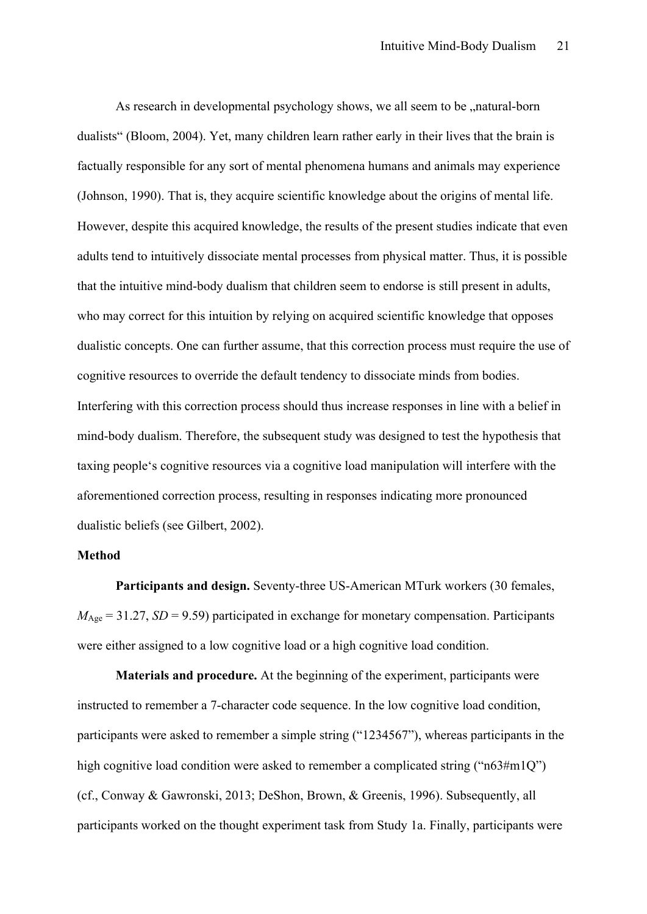As research in developmental psychology shows, we all seem to be  $\alpha$  natural-born dualists" (Bloom, 2004). Yet, many children learn rather early in their lives that the brain is factually responsible for any sort of mental phenomena humans and animals may experience (Johnson, 1990). That is, they acquire scientific knowledge about the origins of mental life. However, despite this acquired knowledge, the results of the present studies indicate that even adults tend to intuitively dissociate mental processes from physical matter. Thus, it is possible that the intuitive mind-body dualism that children seem to endorse is still present in adults, who may correct for this intuition by relying on acquired scientific knowledge that opposes dualistic concepts. One can further assume, that this correction process must require the use of cognitive resources to override the default tendency to dissociate minds from bodies. Interfering with this correction process should thus increase responses in line with a belief in mind-body dualism. Therefore, the subsequent study was designed to test the hypothesis that taxing people's cognitive resources via a cognitive load manipulation will interfere with the aforementioned correction process, resulting in responses indicating more pronounced dualistic beliefs (see Gilbert, 2002).

#### **Method**

**Participants and design.** Seventy-three US-American MTurk workers (30 females,  $M_{\text{Age}} = 31.27$ , *SD* = 9.59) participated in exchange for monetary compensation. Participants were either assigned to a low cognitive load or a high cognitive load condition.

**Materials and procedure.** At the beginning of the experiment, participants were instructed to remember a 7-character code sequence. In the low cognitive load condition, participants were asked to remember a simple string ("1234567"), whereas participants in the high cognitive load condition were asked to remember a complicated string ("n63#m1Q") (cf., Conway & Gawronski, 2013; DeShon, Brown, & Greenis, 1996). Subsequently, all participants worked on the thought experiment task from Study 1a. Finally, participants were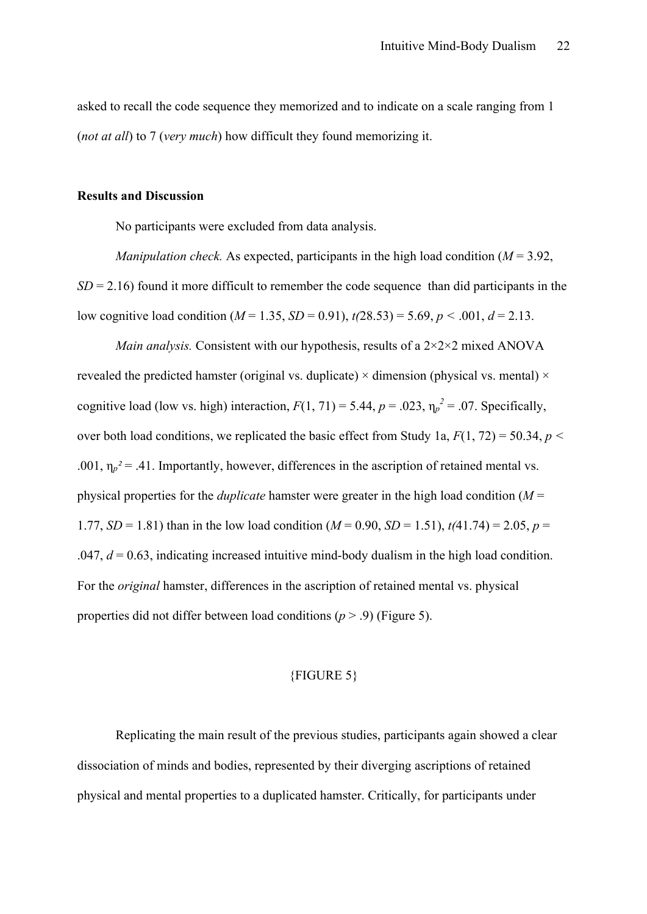asked to recall the code sequence they memorized and to indicate on a scale ranging from 1 (*not at all*) to 7 (*very much*) how difficult they found memorizing it.

#### **Results and Discussion**

No participants were excluded from data analysis.

*Manipulation check.* As expected, participants in the high load condition ( $M = 3.92$ )  $SD = 2.16$ ) found it more difficult to remember the code sequence than did participants in the low cognitive load condition ( $M = 1.35$ ,  $SD = 0.91$ ),  $t(28.53) = 5.69$ ,  $p < .001$ ,  $d = 2.13$ .

*Main analysis.* Consistent with our hypothesis, results of a  $2 \times 2 \times 2$  mixed ANOVA revealed the predicted hamster (original vs. duplicate)  $\times$  dimension (physical vs. mental)  $\times$ cognitive load (low vs. high) interaction,  $F(1, 71) = 5.44$ ,  $p = .023$ ,  $\eta_p^2 = .07$ . Specifically, over both load conditions, we replicated the basic effect from Study 1a, *F*(1, 72) = 50.34, *p <* .001,  $\eta_p^2 = 0.41$ . Importantly, however, differences in the ascription of retained mental vs. physical properties for the *duplicate* hamster were greater in the high load condition (*M* = 1.77, *SD* = 1.81) than in the low load condition ( $M = 0.90$ , *SD* = 1.51),  $t(41.74) = 2.05$ ,  $p =$  $.047, d = 0.63$ , indicating increased intuitive mind-body dualism in the high load condition. For the *original* hamster, differences in the ascription of retained mental vs. physical properties did not differ between load conditions (*p* > .9) (Figure 5).

#### {FIGURE 5}

Replicating the main result of the previous studies, participants again showed a clear dissociation of minds and bodies, represented by their diverging ascriptions of retained physical and mental properties to a duplicated hamster. Critically, for participants under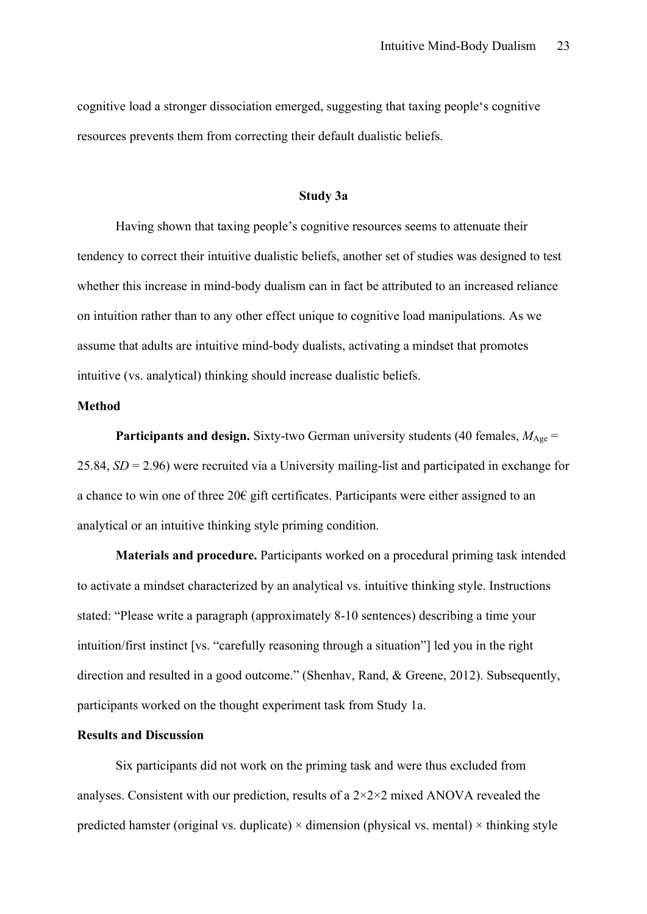cognitive load a stronger dissociation emerged, suggesting that taxing people's cognitive resources prevents them from correcting their default dualistic beliefs.

#### **Study 3a**

Having shown that taxing people's cognitive resources seems to attenuate their tendency to correct their intuitive dualistic beliefs, another set of studies was designed to test whether this increase in mind-body dualism can in fact be attributed to an increased reliance on intuition rather than to any other effect unique to cognitive load manipulations. As we assume that adults are intuitive mind-body dualists, activating a mindset that promotes intuitive (vs. analytical) thinking should increase dualistic beliefs.

#### **Method**

**Participants and design.** Sixty-two German university students (40 females,  $M_{\text{Age}} =$ 25.84, *SD* = 2.96) were recruited via a University mailing-list and participated in exchange for a chance to win one of three 20€ gift certificates. Participants were either assigned to an analytical or an intuitive thinking style priming condition.

**Materials and procedure.** Participants worked on a procedural priming task intended to activate a mindset characterized by an analytical vs. intuitive thinking style. Instructions stated: "Please write a paragraph (approximately 8-10 sentences) describing a time your intuition/first instinct [vs. "carefully reasoning through a situation"] led you in the right direction and resulted in a good outcome." (Shenhav, Rand, & Greene, 2012). Subsequently, participants worked on the thought experiment task from Study 1a.

#### **Results and Discussion**

Six participants did not work on the priming task and were thus excluded from analyses. Consistent with our prediction, results of a 2×2×2 mixed ANOVA revealed the predicted hamster (original vs. duplicate)  $\times$  dimension (physical vs. mental)  $\times$  thinking style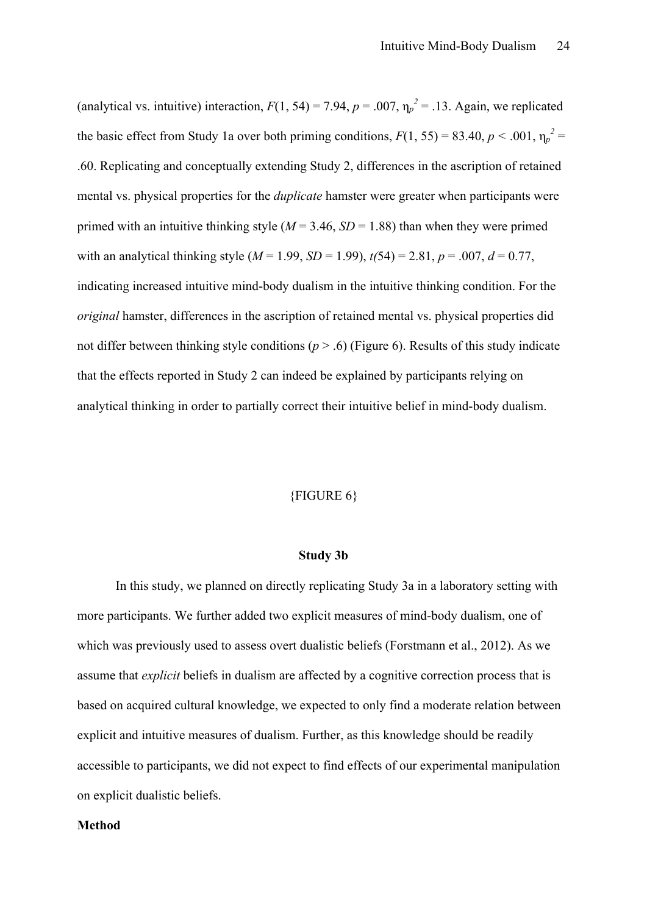(analytical vs. intuitive) interaction,  $F(1, 54) = 7.94$ ,  $p = .007$ ,  $\eta_p^2 = .13$ . Again, we replicated the basic effect from Study 1a over both priming conditions,  $F(1, 55) = 83.40, p < .001, \eta_p^2 =$ .60. Replicating and conceptually extending Study 2, differences in the ascription of retained mental vs. physical properties for the *duplicate* hamster were greater when participants were primed with an intuitive thinking style  $(M = 3.46, SD = 1.88)$  than when they were primed with an analytical thinking style  $(M = 1.99, SD = 1.99)$ ,  $t(54) = 2.81, p = .007, d = 0.77$ , indicating increased intuitive mind-body dualism in the intuitive thinking condition. For the *original* hamster, differences in the ascription of retained mental vs. physical properties did not differ between thinking style conditions  $(p > .6)$  (Figure 6). Results of this study indicate that the effects reported in Study 2 can indeed be explained by participants relying on analytical thinking in order to partially correct their intuitive belief in mind-body dualism.

#### {FIGURE 6}

#### **Study 3b**

In this study, we planned on directly replicating Study 3a in a laboratory setting with more participants. We further added two explicit measures of mind-body dualism, one of which was previously used to assess overt dualistic beliefs (Forstmann et al., 2012). As we assume that *explicit* beliefs in dualism are affected by a cognitive correction process that is based on acquired cultural knowledge, we expected to only find a moderate relation between explicit and intuitive measures of dualism. Further, as this knowledge should be readily accessible to participants, we did not expect to find effects of our experimental manipulation on explicit dualistic beliefs.

#### **Method**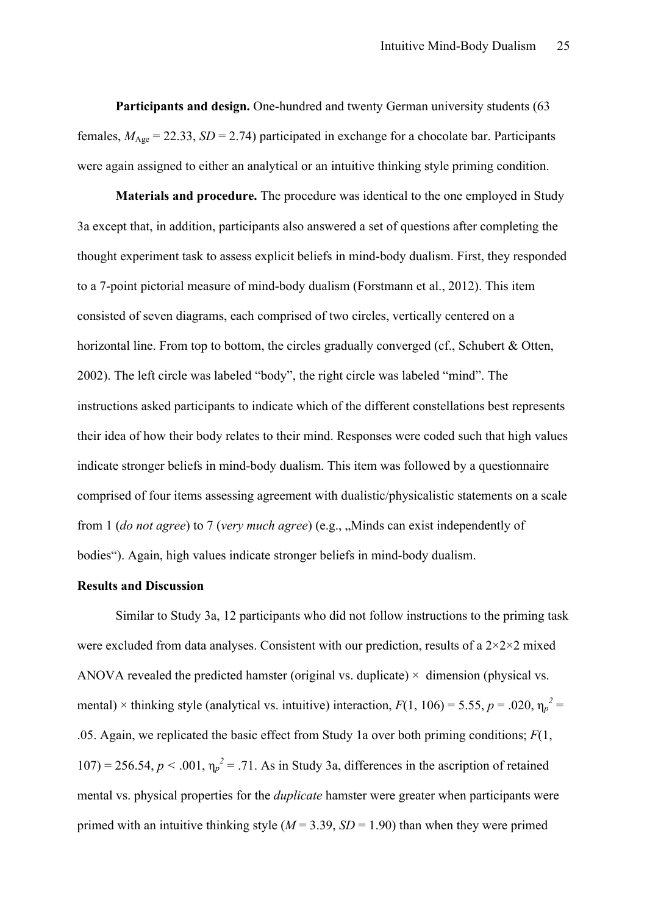**Participants and design.** One-hundred and twenty German university students (63) females,  $M_{\text{Age}} = 22.33$ ,  $SD = 2.74$ ) participated in exchange for a chocolate bar. Participants were again assigned to either an analytical or an intuitive thinking style priming condition.

**Materials and procedure.** The procedure was identical to the one employed in Study 3a except that, in addition, participants also answered a set of questions after completing the thought experiment task to assess explicit beliefs in mind-body dualism. First, they responded to a 7-point pictorial measure of mind-body dualism (Forstmann et al., 2012). This item consisted of seven diagrams, each comprised of two circles, vertically centered on a horizontal line. From top to bottom, the circles gradually converged (cf., Schubert & Otten, 2002). The left circle was labeled "body", the right circle was labeled "mind". The instructions asked participants to indicate which of the different constellations best represents their idea of how their body relates to their mind. Responses were coded such that high values indicate stronger beliefs in mind-body dualism. This item was followed by a questionnaire comprised of four items assessing agreement with dualistic/physicalistic statements on a scale from 1 *(do not agree)* to 7 *(very much agree)* (e.g., "Minds can exist independently of bodies"). Again, high values indicate stronger beliefs in mind-body dualism.

#### **Results and Discussion**

Similar to Study 3a, 12 participants who did not follow instructions to the priming task were excluded from data analyses. Consistent with our prediction, results of a  $2\times2\times2$  mixed ANOVA revealed the predicted hamster (original vs. duplicate)  $\times$  dimension (physical vs. mental) × thinking style (analytical vs. intuitive) interaction,  $F(1, 106) = 5.55$ ,  $p = .020$ ,  $\eta_p^2 =$ .05. Again, we replicated the basic effect from Study 1a over both priming conditions; *F*(1, 107) = 256.54,  $p < .001$ ,  $\eta_p^2 = .71$ . As in Study 3a, differences in the ascription of retained mental vs. physical properties for the *duplicate* hamster were greater when participants were primed with an intuitive thinking style  $(M = 3.39, SD = 1.90)$  than when they were primed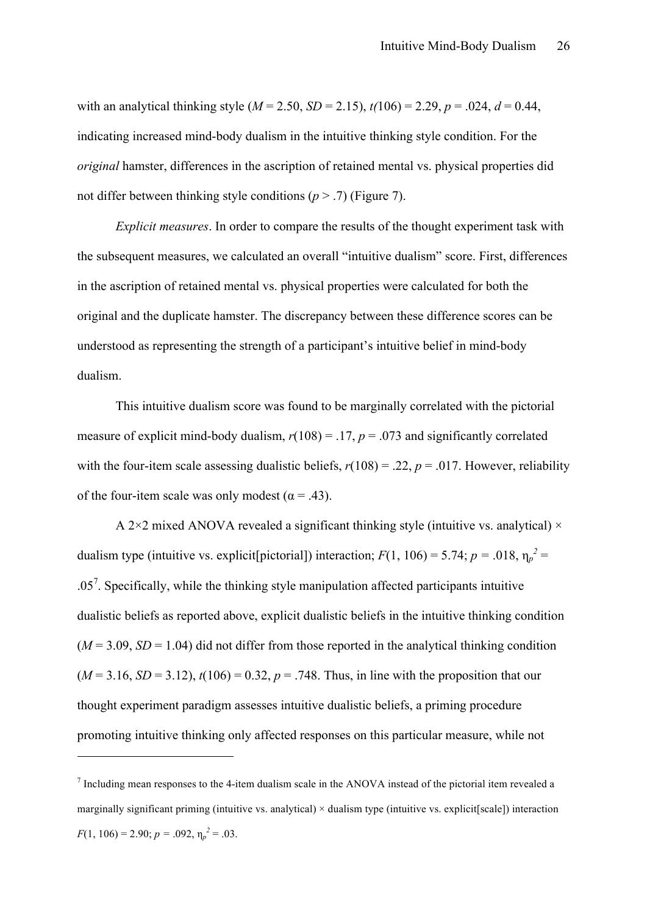with an analytical thinking style  $(M = 2.50, SD = 2.15)$ ,  $t(106) = 2.29, p = .024, d = 0.44$ , indicating increased mind-body dualism in the intuitive thinking style condition. For the *original* hamster, differences in the ascription of retained mental vs. physical properties did not differ between thinking style conditions  $(p > .7)$  (Figure 7).

*Explicit measures*. In order to compare the results of the thought experiment task with the subsequent measures, we calculated an overall "intuitive dualism" score. First, differences in the ascription of retained mental vs. physical properties were calculated for both the original and the duplicate hamster. The discrepancy between these difference scores can be understood as representing the strength of a participant's intuitive belief in mind-body dualism.

This intuitive dualism score was found to be marginally correlated with the pictorial measure of explicit mind-body dualism,  $r(108) = .17$ ,  $p = .073$  and significantly correlated with the four-item scale assessing dualistic beliefs,  $r(108) = .22$ ,  $p = .017$ . However, reliability of the four-item scale was only modest ( $\alpha$  = .43).

A 2 $\times$ 2 mixed ANOVA revealed a significant thinking style (intuitive vs. analytical)  $\times$ dualism type (intuitive vs. explicit[pictorial]) interaction;  $F(1, 106) = 5.74$ ;  $p = .018$ ,  $\eta_p^2 =$  $.05<sup>7</sup>$ . Specifically, while the thinking style manipulation affected participants intuitive dualistic beliefs as reported above, explicit dualistic beliefs in the intuitive thinking condition  $(M = 3.09, SD = 1.04)$  did not differ from those reported in the analytical thinking condition  $(M = 3.16, SD = 3.12)$ ,  $t(106) = 0.32$ ,  $p = .748$ . Thus, in line with the proposition that our thought experiment paradigm assesses intuitive dualistic beliefs, a priming procedure promoting intuitive thinking only affected responses on this particular measure, while not

 $\overline{a}$ 

 $<sup>7</sup>$  Including mean responses to the 4-item dualism scale in the ANOVA instead of the pictorial item revealed a</sup> marginally significant priming (intuitive vs. analytical)  $\times$  dualism type (intuitive vs. explicit [scale]) interaction  $F(1, 106) = 2.90; p = .092, \eta_p^2 = .03.$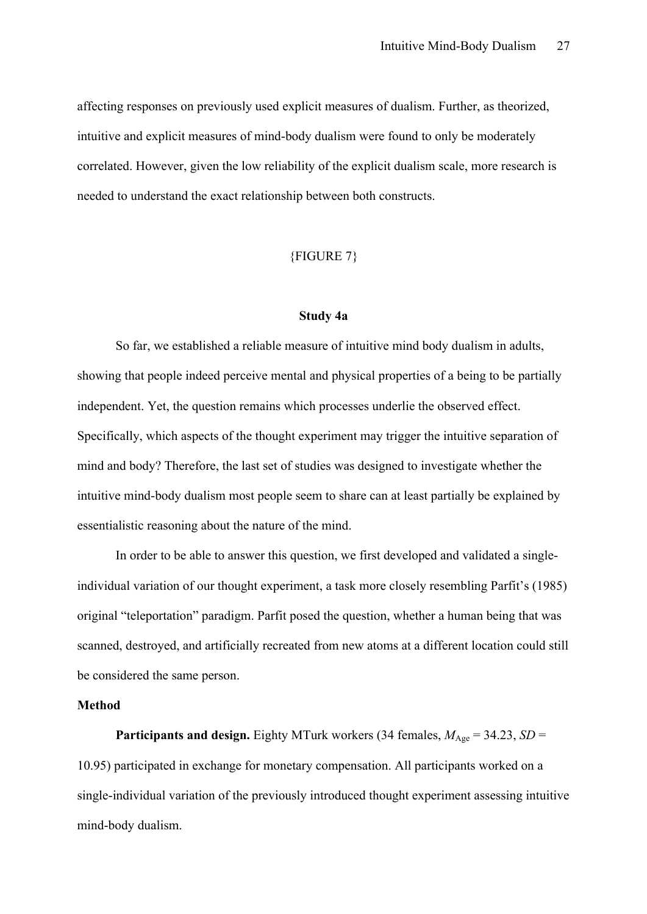affecting responses on previously used explicit measures of dualism. Further, as theorized, intuitive and explicit measures of mind-body dualism were found to only be moderately correlated. However, given the low reliability of the explicit dualism scale, more research is needed to understand the exact relationship between both constructs.

#### {FIGURE 7}

#### **Study 4a**

So far, we established a reliable measure of intuitive mind body dualism in adults, showing that people indeed perceive mental and physical properties of a being to be partially independent. Yet, the question remains which processes underlie the observed effect. Specifically, which aspects of the thought experiment may trigger the intuitive separation of mind and body? Therefore, the last set of studies was designed to investigate whether the intuitive mind-body dualism most people seem to share can at least partially be explained by essentialistic reasoning about the nature of the mind.

In order to be able to answer this question, we first developed and validated a singleindividual variation of our thought experiment, a task more closely resembling Parfit's (1985) original "teleportation" paradigm. Parfit posed the question, whether a human being that was scanned, destroyed, and artificially recreated from new atoms at a different location could still be considered the same person.

#### **Method**

**Participants and design.** Eighty MTurk workers (34 females,  $M_{\text{Age}} = 34.23$ , *SD* = 10.95) participated in exchange for monetary compensation. All participants worked on a single-individual variation of the previously introduced thought experiment assessing intuitive mind-body dualism.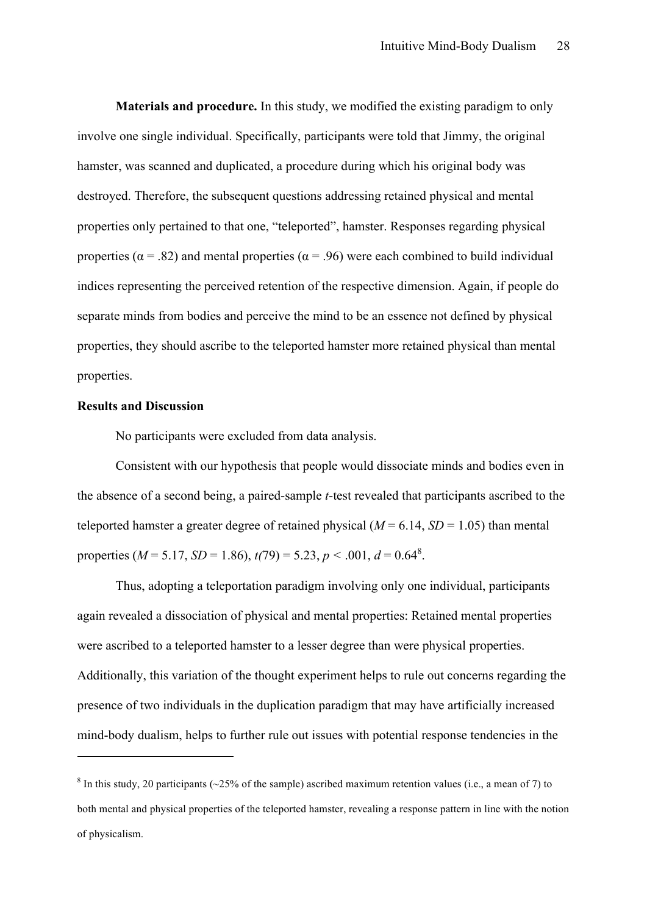**Materials and procedure.** In this study, we modified the existing paradigm to only involve one single individual. Specifically, participants were told that Jimmy, the original hamster, was scanned and duplicated, a procedure during which his original body was destroyed. Therefore, the subsequent questions addressing retained physical and mental properties only pertained to that one, "teleported", hamster. Responses regarding physical properties ( $\alpha$  = .82) and mental properties ( $\alpha$  = .96) were each combined to build individual indices representing the perceived retention of the respective dimension. Again, if people do separate minds from bodies and perceive the mind to be an essence not defined by physical properties, they should ascribe to the teleported hamster more retained physical than mental properties.

#### **Results and Discussion**

 $\overline{a}$ 

No participants were excluded from data analysis.

Consistent with our hypothesis that people would dissociate minds and bodies even in the absence of a second being, a paired-sample *t*-test revealed that participants ascribed to the teleported hamster a greater degree of retained physical  $(M = 6.14, SD = 1.05)$  than mental properties ( $M = 5.17$ ,  $SD = 1.86$ ),  $t(79) = 5.23$ ,  $p < .001$ ,  $d = 0.64$ <sup>8</sup>.

Thus, adopting a teleportation paradigm involving only one individual, participants again revealed a dissociation of physical and mental properties: Retained mental properties were ascribed to a teleported hamster to a lesser degree than were physical properties. Additionally, this variation of the thought experiment helps to rule out concerns regarding the presence of two individuals in the duplication paradigm that may have artificially increased mind-body dualism, helps to further rule out issues with potential response tendencies in the

<sup>&</sup>lt;sup>8</sup> In this study, 20 participants ( $\sim$ 25% of the sample) ascribed maximum retention values (i.e., a mean of 7) to both mental and physical properties of the teleported hamster, revealing a response pattern in line with the notion of physicalism.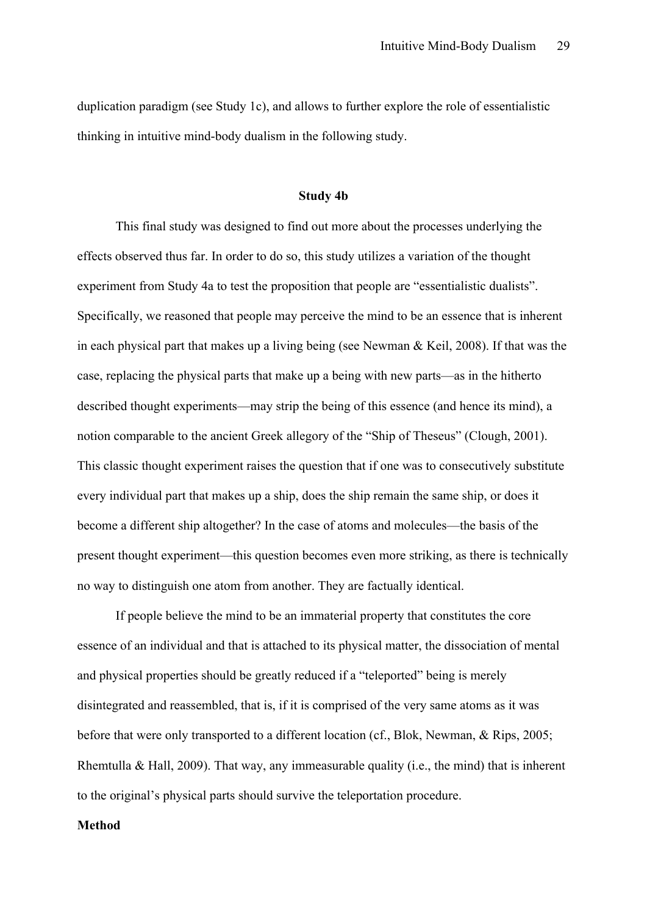duplication paradigm (see Study 1c), and allows to further explore the role of essentialistic thinking in intuitive mind-body dualism in the following study.

#### **Study 4b**

This final study was designed to find out more about the processes underlying the effects observed thus far. In order to do so, this study utilizes a variation of the thought experiment from Study 4a to test the proposition that people are "essentialistic dualists". Specifically, we reasoned that people may perceive the mind to be an essence that is inherent in each physical part that makes up a living being (see Newman & Keil, 2008). If that was the case, replacing the physical parts that make up a being with new parts—as in the hitherto described thought experiments—may strip the being of this essence (and hence its mind), a notion comparable to the ancient Greek allegory of the "Ship of Theseus" (Clough, 2001). This classic thought experiment raises the question that if one was to consecutively substitute every individual part that makes up a ship, does the ship remain the same ship, or does it become a different ship altogether? In the case of atoms and molecules—the basis of the present thought experiment—this question becomes even more striking, as there is technically no way to distinguish one atom from another. They are factually identical.

If people believe the mind to be an immaterial property that constitutes the core essence of an individual and that is attached to its physical matter, the dissociation of mental and physical properties should be greatly reduced if a "teleported" being is merely disintegrated and reassembled, that is, if it is comprised of the very same atoms as it was before that were only transported to a different location (cf., Blok, Newman, & Rips, 2005; Rhemtulla & Hall, 2009). That way, any immeasurable quality (i.e., the mind) that is inherent to the original's physical parts should survive the teleportation procedure.

#### **Method**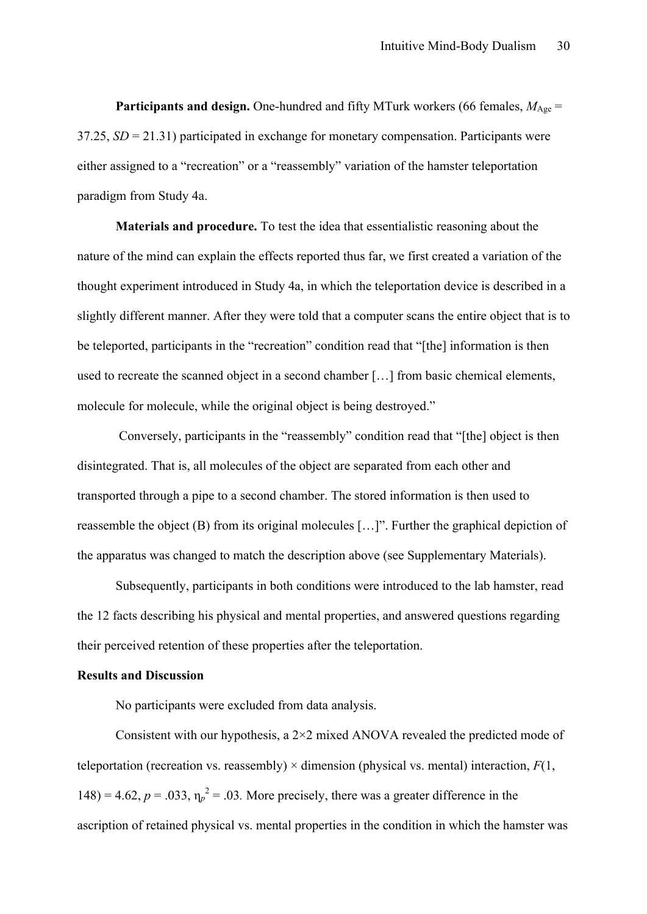**Participants and design.** One-hundred and fifty MTurk workers (66 females,  $M_{\text{Age}} =$ 37.25, *SD* = 21.31) participated in exchange for monetary compensation. Participants were either assigned to a "recreation" or a "reassembly" variation of the hamster teleportation paradigm from Study 4a.

**Materials and procedure.** To test the idea that essentialistic reasoning about the nature of the mind can explain the effects reported thus far, we first created a variation of the thought experiment introduced in Study 4a, in which the teleportation device is described in a slightly different manner. After they were told that a computer scans the entire object that is to be teleported, participants in the "recreation" condition read that "[the] information is then used to recreate the scanned object in a second chamber […] from basic chemical elements, molecule for molecule, while the original object is being destroyed."

Conversely, participants in the "reassembly" condition read that "[the] object is then disintegrated. That is, all molecules of the object are separated from each other and transported through a pipe to a second chamber. The stored information is then used to reassemble the object (B) from its original molecules […]". Further the graphical depiction of the apparatus was changed to match the description above (see Supplementary Materials).

Subsequently, participants in both conditions were introduced to the lab hamster, read the 12 facts describing his physical and mental properties, and answered questions regarding their perceived retention of these properties after the teleportation.

#### **Results and Discussion**

No participants were excluded from data analysis.

Consistent with our hypothesis, a 2×2 mixed ANOVA revealed the predicted mode of teleportation (recreation vs. reassembly)  $\times$  dimension (physical vs. mental) interaction,  $F(1)$ , 148) = 4.62,  $p = .033$ ,  $\eta_p^2 = .03$ . More precisely, there was a greater difference in the ascription of retained physical vs. mental properties in the condition in which the hamster was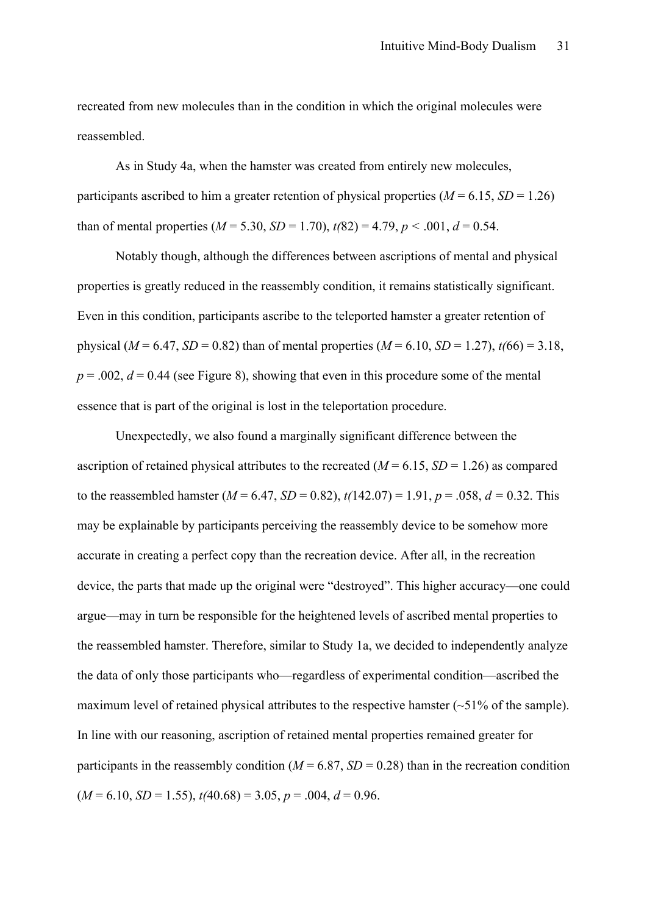recreated from new molecules than in the condition in which the original molecules were reassembled.

As in Study 4a, when the hamster was created from entirely new molecules, participants ascribed to him a greater retention of physical properties  $(M = 6.15, SD = 1.26)$ than of mental properties  $(M = 5.30, SD = 1.70)$ ,  $t(82) = 4.79$ ,  $p < .001$ ,  $d = 0.54$ .

Notably though, although the differences between ascriptions of mental and physical properties is greatly reduced in the reassembly condition, it remains statistically significant. Even in this condition, participants ascribe to the teleported hamster a greater retention of physical ( $M = 6.47$ ,  $SD = 0.82$ ) than of mental properties ( $M = 6.10$ ,  $SD = 1.27$ ),  $t(66) = 3.18$ ,  $p = .002$ ,  $d = 0.44$  (see Figure 8), showing that even in this procedure some of the mental essence that is part of the original is lost in the teleportation procedure.

Unexpectedly, we also found a marginally significant difference between the ascription of retained physical attributes to the recreated  $(M = 6.15, SD = 1.26)$  as compared to the reassembled hamster ( $M = 6.47$ ,  $SD = 0.82$ ),  $t(142.07) = 1.91$ ,  $p = .058$ ,  $d = 0.32$ . This may be explainable by participants perceiving the reassembly device to be somehow more accurate in creating a perfect copy than the recreation device. After all, in the recreation device, the parts that made up the original were "destroyed". This higher accuracy—one could argue—may in turn be responsible for the heightened levels of ascribed mental properties to the reassembled hamster. Therefore, similar to Study 1a, we decided to independently analyze the data of only those participants who—regardless of experimental condition—ascribed the maximum level of retained physical attributes to the respective hamster (~51% of the sample). In line with our reasoning, ascription of retained mental properties remained greater for participants in the reassembly condition  $(M = 6.87, SD = 0.28)$  than in the recreation condition  $(M = 6.10, SD = 1.55), t(40.68) = 3.05, p = .004, d = 0.96.$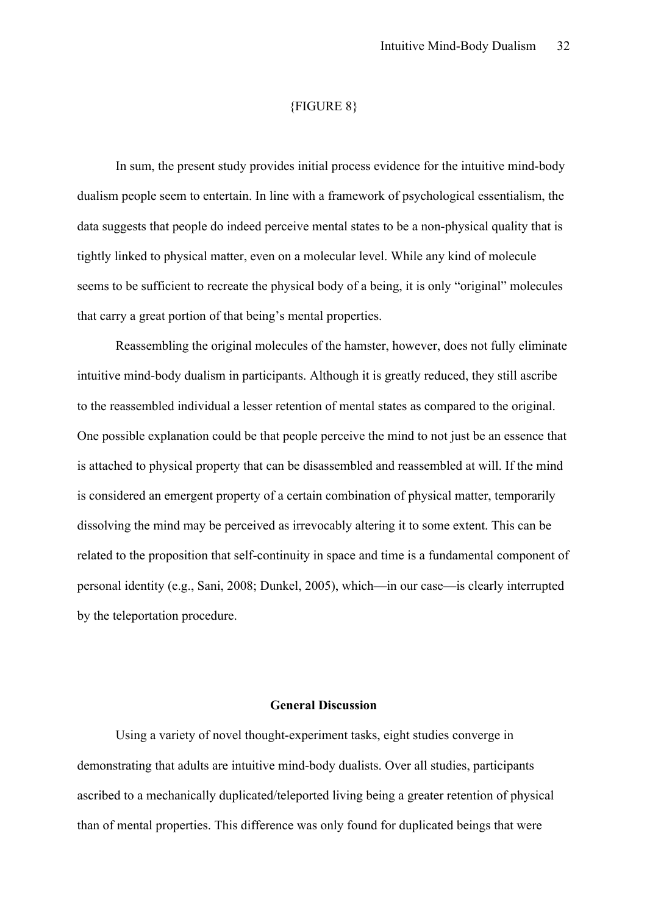#### {FIGURE 8}

In sum, the present study provides initial process evidence for the intuitive mind-body dualism people seem to entertain. In line with a framework of psychological essentialism, the data suggests that people do indeed perceive mental states to be a non-physical quality that is tightly linked to physical matter, even on a molecular level. While any kind of molecule seems to be sufficient to recreate the physical body of a being, it is only "original" molecules that carry a great portion of that being's mental properties.

Reassembling the original molecules of the hamster, however, does not fully eliminate intuitive mind-body dualism in participants. Although it is greatly reduced, they still ascribe to the reassembled individual a lesser retention of mental states as compared to the original. One possible explanation could be that people perceive the mind to not just be an essence that is attached to physical property that can be disassembled and reassembled at will. If the mind is considered an emergent property of a certain combination of physical matter, temporarily dissolving the mind may be perceived as irrevocably altering it to some extent. This can be related to the proposition that self-continuity in space and time is a fundamental component of personal identity (e.g., Sani, 2008; Dunkel, 2005), which—in our case—is clearly interrupted by the teleportation procedure.

#### **General Discussion**

Using a variety of novel thought-experiment tasks, eight studies converge in demonstrating that adults are intuitive mind-body dualists. Over all studies, participants ascribed to a mechanically duplicated/teleported living being a greater retention of physical than of mental properties. This difference was only found for duplicated beings that were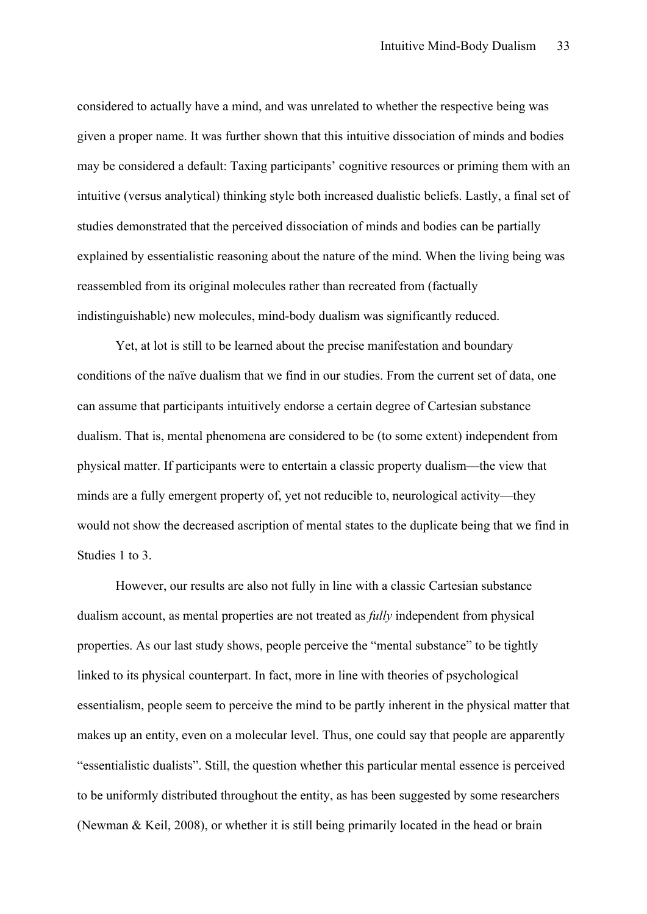considered to actually have a mind, and was unrelated to whether the respective being was given a proper name. It was further shown that this intuitive dissociation of minds and bodies may be considered a default: Taxing participants' cognitive resources or priming them with an intuitive (versus analytical) thinking style both increased dualistic beliefs. Lastly, a final set of studies demonstrated that the perceived dissociation of minds and bodies can be partially explained by essentialistic reasoning about the nature of the mind. When the living being was reassembled from its original molecules rather than recreated from (factually indistinguishable) new molecules, mind-body dualism was significantly reduced.

Yet, at lot is still to be learned about the precise manifestation and boundary conditions of the naïve dualism that we find in our studies. From the current set of data, one can assume that participants intuitively endorse a certain degree of Cartesian substance dualism. That is, mental phenomena are considered to be (to some extent) independent from physical matter. If participants were to entertain a classic property dualism—the view that minds are a fully emergent property of, yet not reducible to, neurological activity—they would not show the decreased ascription of mental states to the duplicate being that we find in Studies 1 to 3.

However, our results are also not fully in line with a classic Cartesian substance dualism account, as mental properties are not treated as *fully* independent from physical properties. As our last study shows, people perceive the "mental substance" to be tightly linked to its physical counterpart. In fact, more in line with theories of psychological essentialism, people seem to perceive the mind to be partly inherent in the physical matter that makes up an entity, even on a molecular level. Thus, one could say that people are apparently "essentialistic dualists". Still, the question whether this particular mental essence is perceived to be uniformly distributed throughout the entity, as has been suggested by some researchers (Newman & Keil, 2008), or whether it is still being primarily located in the head or brain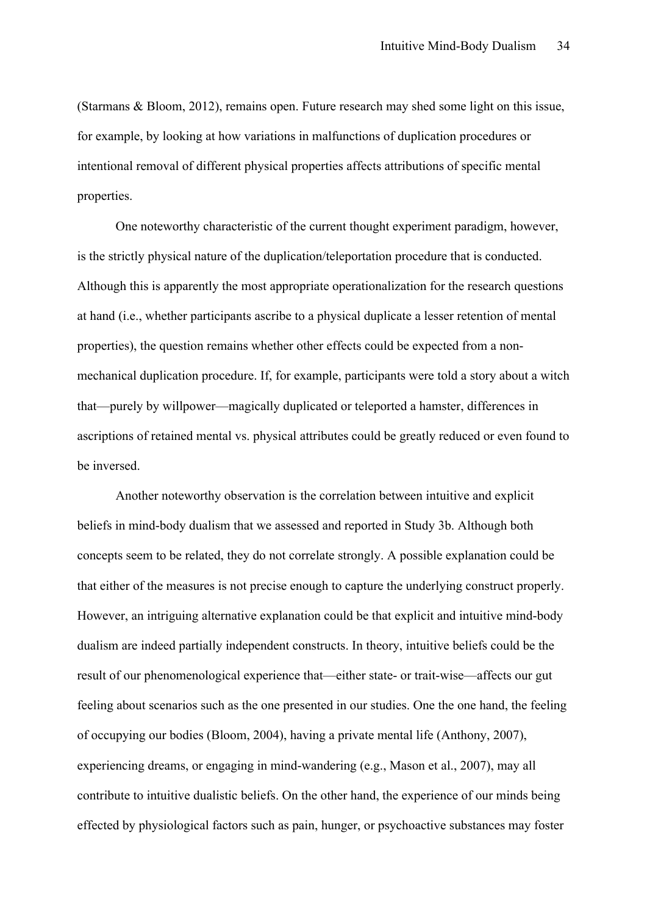(Starmans & Bloom, 2012), remains open. Future research may shed some light on this issue, for example, by looking at how variations in malfunctions of duplication procedures or intentional removal of different physical properties affects attributions of specific mental properties.

One noteworthy characteristic of the current thought experiment paradigm, however, is the strictly physical nature of the duplication/teleportation procedure that is conducted. Although this is apparently the most appropriate operationalization for the research questions at hand (i.e., whether participants ascribe to a physical duplicate a lesser retention of mental properties), the question remains whether other effects could be expected from a nonmechanical duplication procedure. If, for example, participants were told a story about a witch that—purely by willpower—magically duplicated or teleported a hamster, differences in ascriptions of retained mental vs. physical attributes could be greatly reduced or even found to be inversed.

Another noteworthy observation is the correlation between intuitive and explicit beliefs in mind-body dualism that we assessed and reported in Study 3b. Although both concepts seem to be related, they do not correlate strongly. A possible explanation could be that either of the measures is not precise enough to capture the underlying construct properly. However, an intriguing alternative explanation could be that explicit and intuitive mind-body dualism are indeed partially independent constructs. In theory, intuitive beliefs could be the result of our phenomenological experience that—either state- or trait-wise—affects our gut feeling about scenarios such as the one presented in our studies. One the one hand, the feeling of occupying our bodies (Bloom, 2004), having a private mental life (Anthony, 2007), experiencing dreams, or engaging in mind-wandering (e.g., Mason et al., 2007), may all contribute to intuitive dualistic beliefs. On the other hand, the experience of our minds being effected by physiological factors such as pain, hunger, or psychoactive substances may foster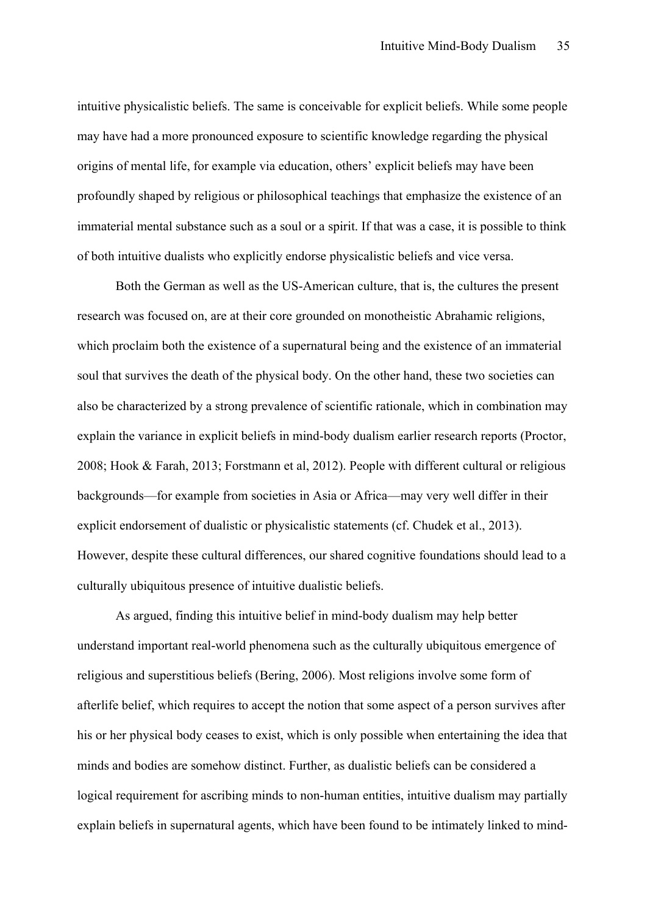intuitive physicalistic beliefs. The same is conceivable for explicit beliefs. While some people may have had a more pronounced exposure to scientific knowledge regarding the physical origins of mental life, for example via education, others' explicit beliefs may have been profoundly shaped by religious or philosophical teachings that emphasize the existence of an immaterial mental substance such as a soul or a spirit. If that was a case, it is possible to think of both intuitive dualists who explicitly endorse physicalistic beliefs and vice versa.

Both the German as well as the US-American culture, that is, the cultures the present research was focused on, are at their core grounded on monotheistic Abrahamic religions, which proclaim both the existence of a supernatural being and the existence of an immaterial soul that survives the death of the physical body. On the other hand, these two societies can also be characterized by a strong prevalence of scientific rationale, which in combination may explain the variance in explicit beliefs in mind-body dualism earlier research reports (Proctor, 2008; Hook & Farah, 2013; Forstmann et al, 2012). People with different cultural or religious backgrounds—for example from societies in Asia or Africa—may very well differ in their explicit endorsement of dualistic or physicalistic statements (cf. Chudek et al., 2013). However, despite these cultural differences, our shared cognitive foundations should lead to a culturally ubiquitous presence of intuitive dualistic beliefs.

As argued, finding this intuitive belief in mind-body dualism may help better understand important real-world phenomena such as the culturally ubiquitous emergence of religious and superstitious beliefs (Bering, 2006). Most religions involve some form of afterlife belief, which requires to accept the notion that some aspect of a person survives after his or her physical body ceases to exist, which is only possible when entertaining the idea that minds and bodies are somehow distinct. Further, as dualistic beliefs can be considered a logical requirement for ascribing minds to non-human entities, intuitive dualism may partially explain beliefs in supernatural agents, which have been found to be intimately linked to mind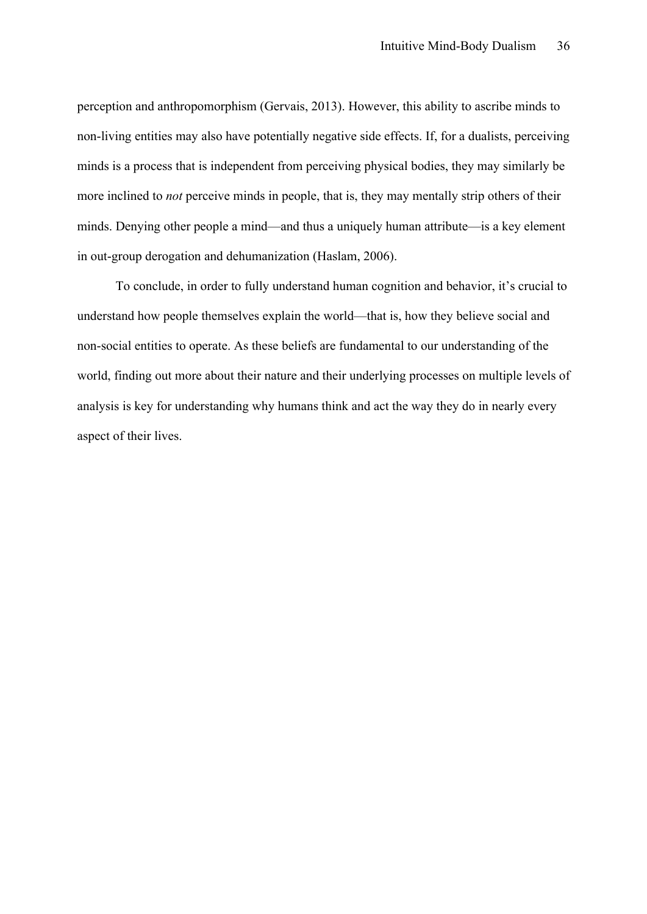perception and anthropomorphism (Gervais, 2013). However, this ability to ascribe minds to non-living entities may also have potentially negative side effects. If, for a dualists, perceiving minds is a process that is independent from perceiving physical bodies, they may similarly be more inclined to *not* perceive minds in people, that is, they may mentally strip others of their minds. Denying other people a mind—and thus a uniquely human attribute—is a key element in out-group derogation and dehumanization (Haslam, 2006).

To conclude, in order to fully understand human cognition and behavior, it's crucial to understand how people themselves explain the world—that is, how they believe social and non-social entities to operate. As these beliefs are fundamental to our understanding of the world, finding out more about their nature and their underlying processes on multiple levels of analysis is key for understanding why humans think and act the way they do in nearly every aspect of their lives.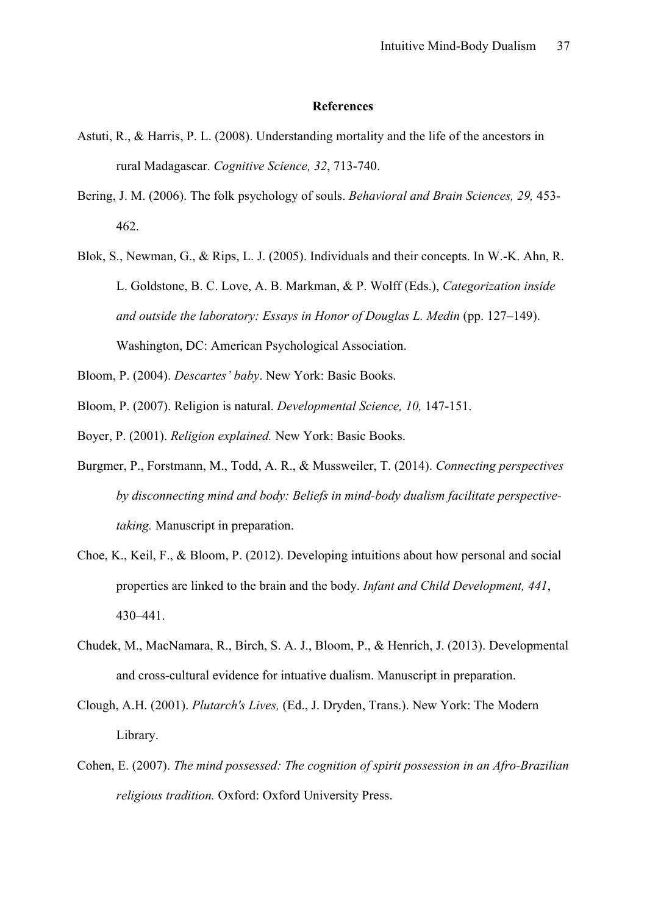#### **References**

- Astuti, R., & Harris, P. L. (2008). Understanding mortality and the life of the ancestors in rural Madagascar. *Cognitive Science, 32*, 713-740.
- Bering, J. M. (2006). The folk psychology of souls. *Behavioral and Brain Sciences, 29,* 453- 462.
- Blok, S., Newman, G., & Rips, L. J. (2005). Individuals and their concepts. In W.-K. Ahn, R. L. Goldstone, B. C. Love, A. B. Markman, & P. Wolff (Eds.), *Categorization inside and outside the laboratory: Essays in Honor of Douglas L. Medin* (pp. 127–149). Washington, DC: American Psychological Association.
- Bloom, P. (2004). *Descartes' baby*. New York: Basic Books.
- Bloom, P. (2007). Religion is natural. *Developmental Science, 10,* 147-151.
- Boyer, P. (2001). *Religion explained.* New York: Basic Books.
- Burgmer, P., Forstmann, M., Todd, A. R., & Mussweiler, T. (2014). *Connecting perspectives by disconnecting mind and body: Beliefs in mind-body dualism facilitate perspectivetaking.* Manuscript in preparation.
- Choe, K., Keil, F., & Bloom, P. (2012). Developing intuitions about how personal and social properties are linked to the brain and the body. *Infant and Child Development, 441*, 430–441.
- Chudek, M., MacNamara, R., Birch, S. A. J., Bloom, P., & Henrich, J. (2013). Developmental and cross-cultural evidence for intuative dualism. Manuscript in preparation.
- Clough, A.H. (2001). *Plutarch's Lives,* (Ed., J. Dryden, Trans.). New York: The Modern Library.
- Cohen, E. (2007). *The mind possessed: The cognition of spirit possession in an Afro-Brazilian religious tradition.* Oxford: Oxford University Press.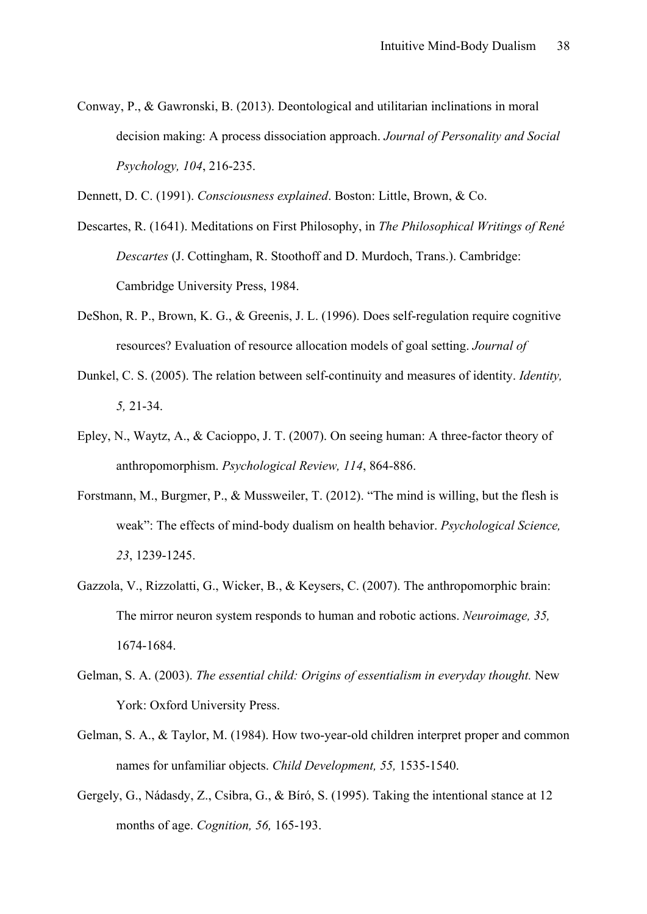Conway, P., & Gawronski, B. (2013). Deontological and utilitarian inclinations in moral decision making: A process dissociation approach. *Journal of Personality and Social Psychology, 104*, 216-235.

Dennett, D. C. (1991). *Consciousness explained*. Boston: Little, Brown, & Co.

- Descartes, R. (1641). Meditations on First Philosophy, in *The Philosophical Writings of René Descartes* (J. Cottingham, R. Stoothoff and D. Murdoch, Trans.). Cambridge: Cambridge University Press, 1984.
- DeShon, R. P., Brown, K. G., & Greenis, J. L. (1996). Does self-regulation require cognitive resources? Evaluation of resource allocation models of goal setting. *Journal of*
- Dunkel, C. S. (2005). The relation between self-continuity and measures of identity. *Identity, 5,* 21-34.
- Epley, N., Waytz, A., & Cacioppo, J. T. (2007). On seeing human: A three-factor theory of anthropomorphism. *Psychological Review, 114*, 864-886.
- Forstmann, M., Burgmer, P., & Mussweiler, T. (2012). "The mind is willing, but the flesh is weak": The effects of mind-body dualism on health behavior. *Psychological Science, 23*, 1239-1245.
- Gazzola, V., Rizzolatti, G., Wicker, B., & Keysers, C. (2007). The anthropomorphic brain: The mirror neuron system responds to human and robotic actions. *Neuroimage, 35,* 1674-1684.
- Gelman, S. A. (2003). *The essential child: Origins of essentialism in everyday thought.* New York: Oxford University Press.
- Gelman, S. A., & Taylor, M. (1984). How two-year-old children interpret proper and common names for unfamiliar objects. *Child Development, 55,* 1535-1540.
- Gergely, G., Nádasdy, Z., Csibra, G., & Bíró, S. (1995). Taking the intentional stance at 12 months of age. *Cognition, 56,* 165-193.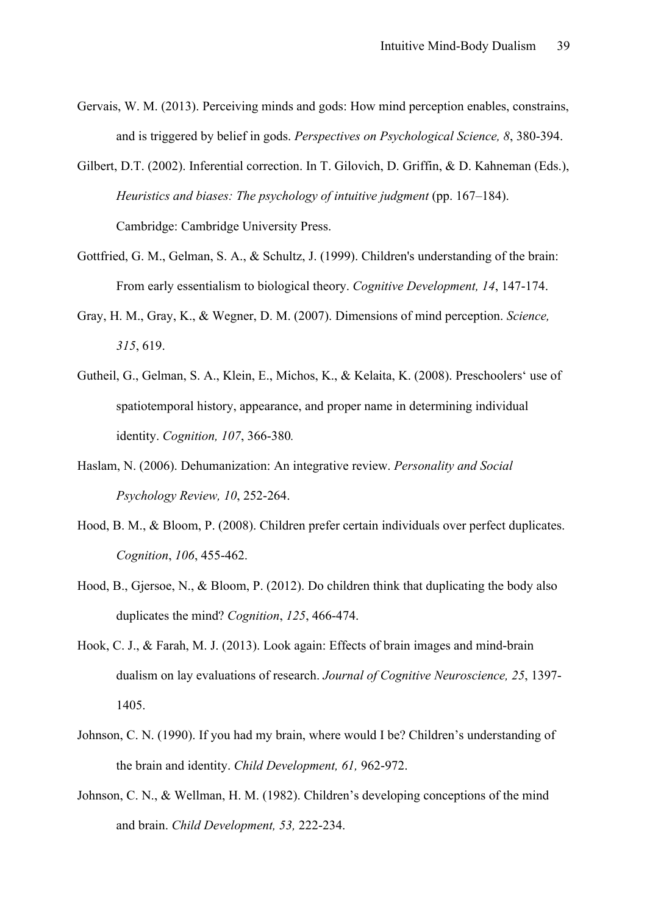- Gervais, W. M. (2013). Perceiving minds and gods: How mind perception enables, constrains, and is triggered by belief in gods. *Perspectives on Psychological Science, 8*, 380-394.
- Gilbert, D.T. (2002). Inferential correction. In T. Gilovich, D. Griffin, & D. Kahneman (Eds.), *Heuristics and biases: The psychology of intuitive judgment* (pp. 167–184). Cambridge: Cambridge University Press.
- Gottfried, G. M., Gelman, S. A., & Schultz, J. (1999). Children's understanding of the brain: From early essentialism to biological theory. *Cognitive Development, 14*, 147-174.
- Gray, H. M., Gray, K., & Wegner, D. M. (2007). Dimensions of mind perception. *Science, 315*, 619.
- Gutheil, G., Gelman, S. A., Klein, E., Michos, K., & Kelaita, K. (2008). Preschoolers' use of spatiotemporal history, appearance, and proper name in determining individual identity. *Cognition, 107*, 366-380*.*
- Haslam, N. (2006). Dehumanization: An integrative review. *Personality and Social Psychology Review, 10*, 252-264.
- Hood, B. M., & Bloom, P. (2008). Children prefer certain individuals over perfect duplicates. *Cognition*, *106*, 455-462.
- Hood, B., Gjersoe, N., & Bloom, P. (2012). Do children think that duplicating the body also duplicates the mind? *Cognition*, *125*, 466-474.
- Hook, C. J., & Farah, M. J. (2013). Look again: Effects of brain images and mind-brain dualism on lay evaluations of research. *Journal of Cognitive Neuroscience, 25*, 1397- 1405.
- Johnson, C. N. (1990). If you had my brain, where would I be? Children's understanding of the brain and identity. *Child Development, 61,* 962-972.
- Johnson, C. N., & Wellman, H. M. (1982). Children's developing conceptions of the mind and brain. *Child Development, 53,* 222-234.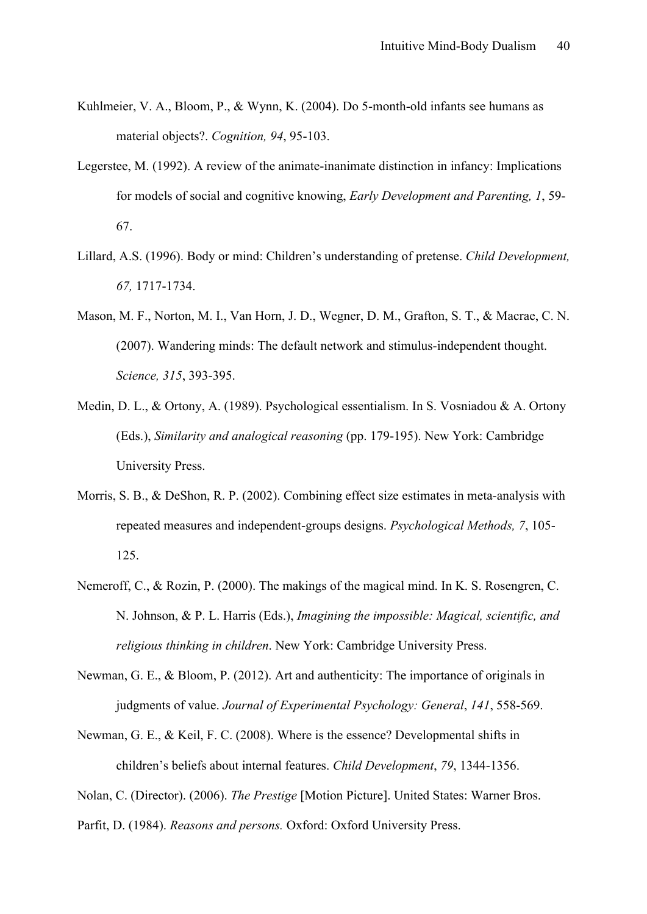- Kuhlmeier, V. A., Bloom, P., & Wynn, K. (2004). Do 5-month-old infants see humans as material objects?. *Cognition, 94*, 95-103.
- Legerstee, M. (1992). A review of the animate-inanimate distinction in infancy: Implications for models of social and cognitive knowing, *Early Development and Parenting, 1*, 59- 67.
- Lillard, A.S. (1996). Body or mind: Children's understanding of pretense. *Child Development, 67,* 1717-1734.
- Mason, M. F., Norton, M. I., Van Horn, J. D., Wegner, D. M., Grafton, S. T., & Macrae, C. N. (2007). Wandering minds: The default network and stimulus-independent thought. *Science, 315*, 393-395.
- Medin, D. L., & Ortony, A. (1989). Psychological essentialism. In S. Vosniadou & A. Ortony (Eds.), *Similarity and analogical reasoning* (pp. 179-195). New York: Cambridge University Press.
- Morris, S. B., & DeShon, R. P. (2002). Combining effect size estimates in meta-analysis with repeated measures and independent-groups designs. *Psychological Methods, 7*, 105- 125.
- Nemeroff, C., & Rozin, P. (2000). The makings of the magical mind. In K. S. Rosengren, C. N. Johnson, & P. L. Harris (Eds.), *Imagining the impossible: Magical, scientific, and religious thinking in children*. New York: Cambridge University Press.
- Newman, G. E., & Bloom, P. (2012). Art and authenticity: The importance of originals in judgments of value. *Journal of Experimental Psychology: General*, *141*, 558-569.
- Newman, G. E., & Keil, F. C. (2008). Where is the essence? Developmental shifts in children's beliefs about internal features. *Child Development*, *79*, 1344-1356.

Nolan, C. (Director). (2006). *The Prestige* [Motion Picture]. United States: Warner Bros.

Parfit, D. (1984). *Reasons and persons.* Oxford: Oxford University Press.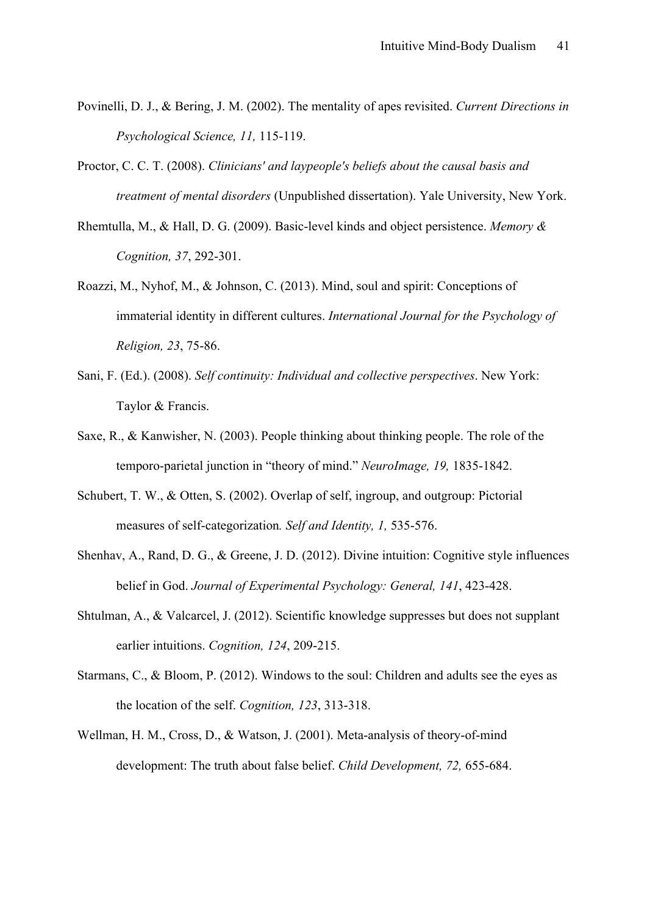- Povinelli, D. J., & Bering, J. M. (2002). The mentality of apes revisited. *Current Directions in Psychological Science, 11,* 115-119.
- Proctor, C. C. T. (2008). *Clinicians' and laypeople's beliefs about the causal basis and treatment of mental disorders* (Unpublished dissertation). Yale University, New York.
- Rhemtulla, M., & Hall, D. G. (2009). Basic-level kinds and object persistence. *Memory & Cognition, 37*, 292-301.
- Roazzi, M., Nyhof, M., & Johnson, C. (2013). Mind, soul and spirit: Conceptions of immaterial identity in different cultures. *International Journal for the Psychology of Religion, 23*, 75-86.
- Sani, F. (Ed.). (2008). *Self continuity: Individual and collective perspectives*. New York: Taylor & Francis.
- Saxe, R., & Kanwisher, N. (2003). People thinking about thinking people. The role of the temporo-parietal junction in "theory of mind." *NeuroImage, 19,* 1835-1842.
- Schubert, T. W., & Otten, S. (2002). Overlap of self, ingroup, and outgroup: Pictorial measures of self-categorization*. Self and Identity, 1,* 535-576.
- Shenhav, A., Rand, D. G., & Greene, J. D. (2012). Divine intuition: Cognitive style influences belief in God. *Journal of Experimental Psychology: General, 141*, 423-428.
- Shtulman, A., & Valcarcel, J. (2012). Scientific knowledge suppresses but does not supplant earlier intuitions. *Cognition, 124*, 209-215.
- Starmans, C., & Bloom, P. (2012). Windows to the soul: Children and adults see the eyes as the location of the self. *Cognition, 123*, 313-318.
- Wellman, H. M., Cross, D., & Watson, J. (2001). Meta-analysis of theory-of-mind development: The truth about false belief. *Child Development, 72,* 655-684.